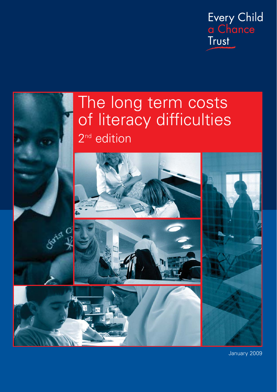



### The long term costs of literacy difficulties 2<sup>nd</sup> edition



January 2009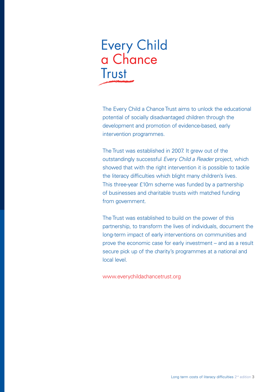# Every Child<br>a Chance Trust

The Every Child a Chance Trust aims to unlock the educational potential of socially disadvantaged children through the development and promotion of evidence-based, early intervention programmes.

The Trust was established in 2007. It grew out of the outstandingly successful Every Child a Reader project, which showed that with the right intervention it is possible to tackle the literacy difficulties which blight many children's lives. This three-year £10m scheme was funded by a partnership of businesses and charitable trusts with matched funding from government.

The Trust was established to build on the power of this partnership, to transform the lives of individuals, document the long-term impact of early interventions on communities and prove the economic case for early investment – and as a result secure pick up of the charity's programmes at a national and local level.

www.everychildachancetrust.org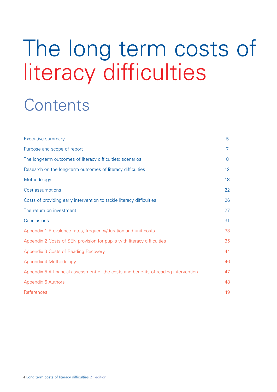# The long term costs of literacy difficulties

## **Contents**

| Executive summary                                                                   | 5  |
|-------------------------------------------------------------------------------------|----|
| Purpose and scope of report                                                         | 7  |
| The long-term outcomes of literacy difficulties: scenarios                          | 8  |
| Research on the long-term outcomes of literacy difficulties                         | 12 |
| Methodology                                                                         | 18 |
| Cost assumptions                                                                    | 22 |
| Costs of providing early intervention to tackle literacy difficulties               | 26 |
| The return on investment                                                            | 27 |
| Conclusions                                                                         | 31 |
| Appendix 1 Prevalence rates, frequency/duration and unit costs                      | 33 |
| Appendix 2 Costs of SEN provision for pupils with literacy difficulties             | 35 |
| Appendix 3 Costs of Reading Recovery                                                | 44 |
| Appendix 4 Methodology                                                              | 46 |
| Appendix 5 A financial assessment of the costs and benefits of reading intervention | 47 |
| <b>Appendix 6 Authors</b>                                                           | 48 |
| References                                                                          | 49 |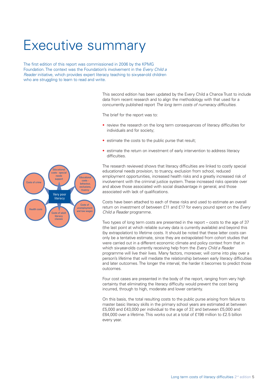### Executive summary

The first edition of this report was commissioned in 2006 by the KPMG Foundation. The context was the Foundation's involvement in the Every Child a Reader initiative, which provides expert literacy teaching to six-year-old children who are struggling to learn to read and write.

> This second edition has been updated by the Every Child a Chance Trust to include data from recent research and to align the methodology with that used for a concurrently published report The long term costs of numeracy difficulties.

The brief for the report was to:

- review the research on the long term consequences of literacy difficulties for individuals and for society;
- estimate the costs to the public purse that result;
- estimate the return on investment of early intervention to address literacy difficulties.

The research reviewed shows that literacy difficulties are linked to costly special educational needs provision, to truancy, exclusion from school, reduced employment opportunities, increased health risks and a greatly increased risk of involvement with the criminal justice system. These increased risks operate over and above those associated with social disadvantage in general, and those associated with lack of qualifications.

Costs have been attached to each of these risks and used to estimate an overall return on investment of between £11 and £17 for every pound spent on the Every Child a Reader programme.

Two types of long term costs are presented in the report – costs to the age of 37 (the last point at which reliable survey data is currently available) and beyond this (by extrapolation) to lifetime costs. It should be noted that these latter costs can only be a tentative estimate, since they are extrapolated from cohort studies that were carried out in a different economic climate and policy context from that in which six-year-olds currently receiving help from the Every Child a Reader programme will live their lives. Many factors, moreover, will come into play over a person's lifetime that will mediate the relationship between early literacy difficulties and later outcomes. The longer the interval, the harder it becomes to predict those outcomes.

Four cost cases are presented in the body of the report, ranging from very high certainty that eliminating the literacy difficulty would prevent the cost being incurred, through to high, moderate and lower certainty.

On this basis, the total resulting costs to the public purse arising from failure to master basic literacy skills in the primary school years are estimated at between £5,000 and £43,000 per individual to the age of 37, and between £5,000 and £64,000 over a lifetime. This works out at a total of £198 million to £2.5 billion every year.

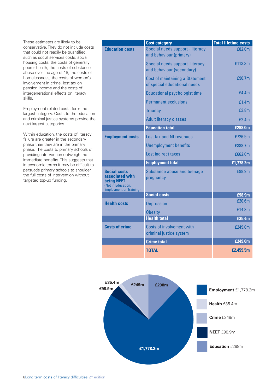These estimates are likely to be conservative. They do not include costs that could not readily be quantified, such as social services costs, social housing costs, the costs of generally poorer health, the costs of substance abuse over the age of 18, the costs of homelessness, the costs of women's involvement in crime, lost tax on pension income and the costs of intergenerational effects on literacy skills.

Employment-related costs form the largest category. Costs to the education and criminal justice systems provide the next largest categories.

Within education, the costs of literacy failure are greater in the secondary phase than they are in the primary phase. The costs to primary schools of providing intervention outweigh the immediate benefits. This suggests that in economic terms it may be difficult to persuade primary schools to shoulder the full costs of intervention without targeted top-up funding.

|                                                                                                                     | <b>Cost category</b>                                                   | <b>Total lifetime costs</b> |
|---------------------------------------------------------------------------------------------------------------------|------------------------------------------------------------------------|-----------------------------|
| <b>Education costs</b>                                                                                              | Special needs support - literacy<br>and behaviour (primary)            | £82.0m                      |
|                                                                                                                     | Special needs support -literacy<br>and behaviour (secondary)           | £113.3m                     |
|                                                                                                                     | <b>Cost of maintaining a Statement</b><br>of special educational needs | £90.7m                      |
|                                                                                                                     | <b>Educational psychologist time</b>                                   | f4.4m                       |
|                                                                                                                     | <b>Permanent exclusions</b>                                            | £1.4m                       |
|                                                                                                                     | <b>Truancy</b>                                                         | £3.8m                       |
|                                                                                                                     | <b>Adult literacy classes</b>                                          | £2.4m                       |
|                                                                                                                     | <b>Education total</b>                                                 | £298.0m                     |
| <b>Employment costs</b>                                                                                             | Lost tax and NI revenues                                               | £726.9m                     |
|                                                                                                                     | <b>Unemployment benefits</b>                                           | £388.7m                     |
|                                                                                                                     | Lost indirect taxes                                                    | f662.6m                     |
|                                                                                                                     | <b>Employment total</b>                                                | £1,778.2m                   |
| <b>Social costs</b><br>associated with<br><b>being NEET</b><br>(Not in Education,<br><b>Employment or Training)</b> | Substance abuse and teenage<br>pregnancy                               | £98.9m                      |
|                                                                                                                     | <b>Social costs</b>                                                    | £98.9m                      |
| <b>Health costs</b>                                                                                                 | <b>Depression</b>                                                      | £20.6m                      |
|                                                                                                                     | <b>Obesity</b>                                                         | £14.8m                      |
|                                                                                                                     | <b>Health total</b>                                                    | £35.4m                      |
| <b>Costs of crime</b>                                                                                               | <b>Costs of involvement with</b><br>criminal justice system            | £249.0m                     |
|                                                                                                                     | <b>Crime total</b>                                                     | £249.0m                     |
|                                                                                                                     | <b>TOTAL</b>                                                           | £2,459.5m                   |

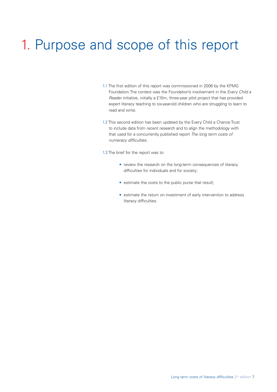### 1. Purpose and scope of this report

- 1.1 The first edition of this report was commissioned in 2006 by the KPMG Foundation.The context was the Foundation's involvement in the Every Child a Reader initiative, initially a £10m, three-year pilot project that has provided expert literacy teaching to six-year-old children who are struggling to learn to read and write.
- 1.2 This second edition has been updated by the Every Child a Chance Trust to include data from recent research and to align the methodology with that used for a concurrently published report The long term costs of numeracy difficulties.

1.3 The brief for the report was to:

- review the research on the long-term consequences of literacy difficulties for individuals and for society;
- estimate the costs to the public purse that result;
- estimate the return on investment of early intervention to address literacy difficulties.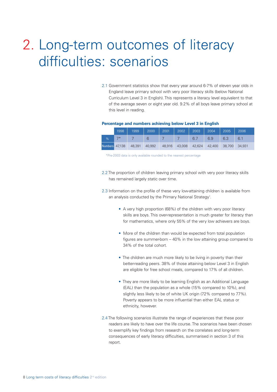### 2. Long-term outcomes of literacy difficulties: scenarios

2.1 Government statistics show that every year around 6-7% of eleven year olds in England leave primary school with very poor literacy skills (below National Curriculum Level 3 in English). This represents a literacy level equivalent to that of the average seven or eight year old. 9.2% of all boys leave primary school at this level in reading.

#### **Percentage and numbers achieving below Level 3 in English**

|      | 1998 | 1999                         | 2000 | 2001 | $\vert$ 2002 | $\sqrt{2003}$ | 2004                                      | 2005 | 2006 |
|------|------|------------------------------|------|------|--------------|---------------|-------------------------------------------|------|------|
| $\%$ | $7*$ |                              | 6    |      |              | 6.7           | 6.9                                       | 6.3  | 6.1  |
|      |      | Numbers 47,138 48,391 40,992 |      |      |              |               | 48,916 43,008 42,624 42,400 38,700 34,931 |      |      |

\*Pre-2003 data is only available rounded to the nearest percentage

- 2.2 The proportion of children leaving primary school with very poor literacy skills has remained largely static over time.
- 2.3 Information on the profile of these very low-attaining children is available from an analysis conducted by the Primary National Strategy<sup>1</sup>.
	- A very high proportion (68%) of the children with very poor literacy skills are boys. This over-representation is much greater for literacy than for mathematics, where only 55% of the very low achievers are boys.
	- More of the children than would be expected from total population figures are summer-born – 40% in the low attaining group compared to 34% of the total cohort.
	- The children are much more likely to be living in poverty than their better-reading peers. 38% of those attaining below Level 3 in English are eligible for free school meals, compared to 17% of all children.
	- They are more likely to be learning English as an Additional Language (EAL) than the population as a whole (15% compared to 10%), and slightly less likely to be of white UK origin (72% compared to 77%). Poverty appears to be more influential than either EAL status or ethnicity, however.
- 2.4 The following scenarios illustrate the range of experiences that these poor readers are likely to have over the life course. The scenarios have been chosen to exemplify key findings from research on the correlates and long-term consequences of early literacy difficulties, summarised in section 3 of this report.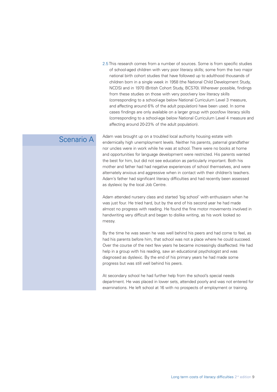2.5 This research comes from a number of sources. Some is from specific studies of school-aged children with very poor literacy skills; some from the two major national birth cohort studies that have followed up to adulthood thousands of children born in a single week in 1958 (the National Child Development Study, NCDS) and in 1970 (British Cohort Study, BCS70). Wherever possible, findings from these studies on those with very poor/very low literacy skills (corresponding to a school-age below National Curriculum Level 3 measure, and affecting around 6% of the adult population) have been used. In some cases findings are only available on a larger group with poor/low literacy skills (corresponding to a school-age below National Curriculum Level 4 measure and affecting around 20-23% of the adult population).

### Scenario A

Adam was brought up on a troubled local authority housing estate with endemically high unemployment levels. Neither his parents, paternal grandfather nor uncles were in work while he was at school. There were no books at home and opportunities for language development were restricted. His parents wanted the best for him, but did not see education as particularly important. Both his mother and father had had negative experiences of school themselves, and were alternately anxious and aggressive when in contact with their children's teachers. Adam's father had significant literacy difficulties and had recently been assessed as dyslexic by the local Job Centre.

Adam attended nursery class and started 'big school' with enthusiasm when he was just four. He tried hard, but by the end of his second year he had made almost no progress with reading. He found the fine motor movements involved in handwriting very difficult and began to dislike writing, as his work looked so messy.

By the time he was seven he was well behind his peers and had come to feel, as had his parents before him, that school was not a place where he could succeed. Over the course of the next few years he became increasingly disaffected. He had help in a group with his reading, saw an educational psychologist and was diagnosed as dyslexic. By the end of his primary years he had made some progress but was still well behind his peers.

At secondary school he had further help from the school's special needs department. He was placed in lower sets, attended poorly and was not entered for examinations. He left school at 16 with no prospects of employment or training.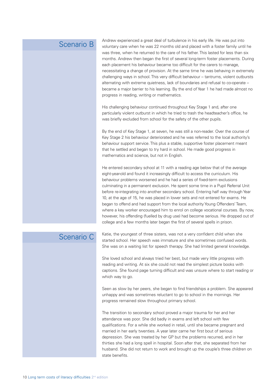### Scenario B

Andrew experienced a great deal of turbulence in his early life. He was put into voluntary care when he was 22 months old and placed with a foster family until he was three, when he returned to the care of his father. This lasted for less than six months. Andrew then began the first of several long-term foster placements. During each placement his behaviour became too difficult for the carers to manage, necessitating a change of provision. At the same time he was behaving in extremely challenging ways in school. This very difficult behaviour – tantrums, violent outbursts alternating with extreme quietness, lack of boundaries and refusal to co-operate – became a major barrier to his learning. By the end of Year 1 he had made almost no progress in reading, writing or mathematics.

His challenging behaviour continued throughout Key Stage 1 and, after one particularly violent outburst in which he tried to trash the headteacher's office, he was briefly excluded from school for the safety of the other pupils.

By the end of Key Stage 1, at seven, he was still a non-reader. Over the course of Key Stage 2 his behaviour deteriorated and he was referred to the local authority's behaviour support service. This plus a stable, supportive foster placement meant that he settled and began to try hard in school. He made good progress in mathematics and science, but not in English.

He entered secondary school at 11 with a reading age below that of the average eight-year-old and found it increasingly difficult to access the curriculum. His behaviour problems worsened and he had a series of fixed-term exclusions culminating in a permanent exclusion. He spent some time in a Pupil Referral Unit before re-integrating into another secondary school. Entering half way through Year 10, at the age of 15, he was placed in lower sets and not entered for exams. He began to offend and had support from the local authority Young Offenders' Team, where a key worker encouraged him to enrol on college vocational courses. By now, however, his offending (fuelled by drug use) had become serious. He dropped out of college and a few months later began the first of several spells in prison.

### Scenario C

Katie, the youngest of three sisters, was not a very confident child when she started school. Her speech was immature and she sometimes confused words. She was on a waiting list for speech therapy. She had limited general knowledge.

She loved school and always tried her best, but made very little progress with reading and writing. At six she could not read the simplest picture books with captions. She found page turning difficult and was unsure where to start reading or which way to go.

Seen as slow by her peers, she began to find friendships a problem. She appeared unhappy and was sometimes reluctant to go to school in the mornings. Her progress remained slow throughout primary school.

The transition to secondary school proved a major trauma for her and her attendance was poor. She did badly in exams and left school with few qualifications. For a while she worked in retail, until she became pregnant and married in her early twenties. A year later came her first bout of serious depression. She was treated by her GP but the problems recurred, and in her thirties she had a long spell in hospital. Soon after that, she separated from her husband. She did not return to work and brought up the couple's three children on state benefits.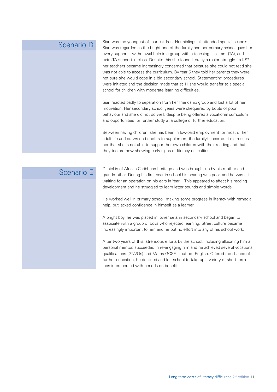### Scenario D

Sian was the youngest of four children. Her siblings all attended special schools. Sian was regarded as the bright one of the family and her primary school gave her every support – withdrawal help in a group with a teaching assistant (TA), and extra TA support in class. Despite this she found literacy a major struggle. In KS2 her teachers became increasingly concerned that because she could not read she was not able to access the curriculum. By Year 5 they told her parents they were not sure she would cope in a big secondary school. Statementing procedures were initiated and the decision made that at 11 she would transfer to a special school for children with moderate learning difficulties.

Sian reacted badly to separation from her friendship group and lost a lot of her motivation. Her secondary school years were chequered by bouts of poor behaviour and she did not do well, despite being offered a vocational curriculum and opportunities for further study at a college of further education.

Between having children, she has been in low-paid employment for most of her adult life and draws on benefits to supplement the family's income. It distresses her that she is not able to support her own children with their reading and that they too are now showing early signs of literacy difficulties.

### Scenario E

Daniel is of African-Caribbean heritage and was brought up by his mother and grandmother. During his first year in school his hearing was poor, and he was still waiting for an operation on his ears in Year 1. This appeared to affect his reading development and he struggled to learn letter sounds and simple words.

He worked well in primary school, making some progress in literacy with remedial help, but lacked confidence in himself as a learner.

A bright boy, he was placed in lower sets in secondary school and began to associate with a group of boys who rejected learning. Street culture became increasingly important to him and he put no effort into any of his school work.

After two years of this, strenuous efforts by the school, including allocating him a personal mentor, succeeded in re-engaging him and he achieved several vocational qualifications (GNVQs) and Maths GCSE – but not English. Offered the chance of further education, he declined and left school to take up a variety of short-term jobs interspersed with periods on benefit.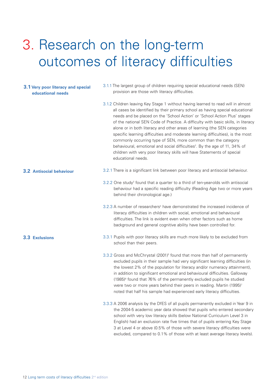### 3. Research on the long-term outcomes of literacy difficulties

- **3.1 Very poor literacy and special educational needs**
- 3.1.1 The largest group of children requiring special educational needs (SEN) provision are those with literacy difficulties.
- 3.1.2 Children leaving Key Stage 1 without having learned to read will in almost all cases be identified by their primary school as having special educational needs and be placed on the 'School Action' or 'School Action Plus' stages of the national SEN Code of Practice. A difficulty with basic skills, in literacy alone or in both literacy and other areas of learning (the SEN categories specific learning difficulties and moderate learning difficulties), is the most commonly occurring type of SEN, more common than the category behavioural, emotional and social difficulties<sup>2</sup>. By the age of 11, 34% of children with very poor literacy skills will have Statements of special educational needs.
- 3.2.1 There is a significant link between poor literacy and antisocial behaviour.
- $3.2.2$  One study<sup>3</sup> found that a quarter to a third of ten-year-olds with antisocial behaviour had a specific reading difficulty (Reading Age two or more years behind their chronological age.)
- 3.2.3 A number of researchers<sup>4</sup> have demonstrated the increased incidence of literacy difficulties in children with social, emotional and behavioural difficulties. The link is evident even when other factors such as home background and general cognitive ability have been controlled for.
- 3.3.1 Pupils with poor literacy skills are much more likely to be excluded from school than their peers.
- 3.3.2 Gross and McChrystal (2001)<sup>5</sup> found that more than half of permanently excluded pupils in their sample had very significant learning difficulties (in the lowest 2% of the population for literacy and/or numeracy attainment), in addition to significant emotional and behavioural difficulties. Galloway  $(1985)$ <sup>6</sup> found that 76% of the permanently excluded pupils he studied were two or more years behind their peers in reading. Martin (1995)<sup>7</sup> noted that half his sample had experienced early literacy difficulties.
- 3.3.3 A 2006 analysis by the DfES of all pupils permanently excluded in Year 9 in the 2004-5 academic year data showed that pupils who entered secondary school with very low literacy skills (below National Curriculum Level 3 in English) had an exclusion rate five times that of pupils entering Key Stage 3 at Level 4 or above (0.5% of those with severe literacy difficulties were excluded, compared to 0.1% of those with at least average literacy levels).

### **3.2 Antisocial behaviour**

### **3.3 Exclusions**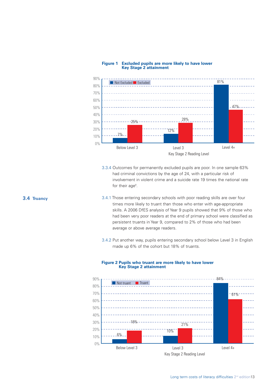

#### **Figure 1 Excluded pupils are more likely to have lower Key Stage 2 attainment**

3.3.4 Outcomes for permanently excluded pupils are poor. In one sample 63% had criminal convictions by the age of 24, with a particular risk of involvement in violent crime and a suicide rate 19 times the national rate for their age<sup>8</sup>.

### **3.4 Truancy**

- 3.4.1 Those entering secondary schools with poor reading skills are over four times more likely to truant than those who enter with age-appropriate skills. A 2006 DfES analysis of Year 9 pupils showed that 9% of those who had been very poor readers at the end of primary school were classified as persistent truants in Year 9, compared to 2% of those who had been average or above average readers.
- 3.4.2 Put another way, pupils entering secondary school below Level 3 in English made up 6% of the cohort but 18% of truants.



#### **Figure 2 Pupils who truant are more likely to have lower Key Stage 2 attainment**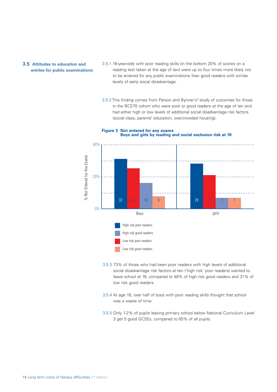### **3.5 Attitudes to education and entries for public examinations**

- 3.5.1 16-year-olds with poor reading skills (in the bottom 20% of scores on a reading test taken at the age of ten) were up to four times more likely not to be entered for any public examinations than good readers with similar levels of early social disadvantage.
- 3.5.2 This finding comes from Parson and Bynner's<sup>9</sup> study of outcomes for those in the BCS70 cohort who were poor or good readers at the age of ten and had either high or low levels of additional social disadvantage risk factors (social class, parents' education, overcrowded housing).



**Figure 3 Not entered for any exams Boys and girls by reading and social exclusion risk at 10**

- 3.5.3 73% of those who had been poor readers with high levels of additional social disadvantage risk factors at ten ('high risk' poor readers) wanted to leave school at 16, compared to 48% of high risk good readers and 31% of low risk good readers.
- 3.5.4 At age 16, over half of boys with poor reading skills thought that school was a waste of time.
- 3.5.5 Only 1-2% of pupils leaving primary school below National Curriculum Level 3 get 5 good GCSEs, compared to 65% of all pupils.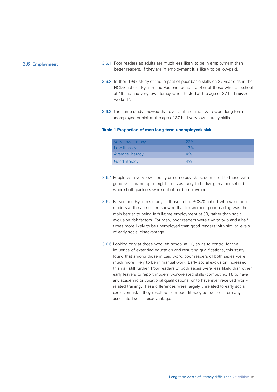- **3.6 Employment** 3.6.1 Poor readers as adults are much less likely to be in employment than better readers. If they are in employment it is likely to be low-paid.
	- 3.6.2 In their 1997 study of the impact of poor basic skills on 37 year olds in the NCDS cohort, Bynner and Parsons found that 4% of those who left school at 16 and had very low literacy when tested at the age of 37 had **never** worked<sup>10</sup>.
	- 3.6.3 The same study showed that over a fifth of men who were long-term unemployed or sick at the age of 37 had very low literacy skills.

### **Table 1 Proportion of men long-term unemployed/ sick**

| Very Low literacy    | 23%    |
|----------------------|--------|
| Low literacy         | $17\%$ |
| Average literacy     | 4%     |
| <b>Good literacy</b> | 4%     |

- 3.6.4 People with very low literacy or numeracy skills, compared to those with good skills, were up to eight times as likely to be living in a household where both partners were out of paid employment.
- 3.6.5 Parson and Bynner's study of those in the BCS70 cohort who were poor readers at the age of ten showed that for women, poor reading was the main barrier to being in full-time employment at 30, rather than social exclusion risk factors. For men, poor readers were two to two and a half times more likely to be unemployed than good readers with similar levels of early social disadvantage.
- 3.6.6 Looking only at those who left school at 16, so as to control for the influence of extended education and resulting qualifications, this study found that among those in paid work, poor readers of both sexes were much more likely to be in manual work. Early social exclusion increased this risk still further. Poor readers of both sexes were less likely than other early leavers to report modern work-related skills (computing/IT), to have any academic or vocational qualifications, or to have ever received workrelated training. These differences were largely unrelated to early social exclusion risk – they resulted from poor literacy per se, not from any associated social disadvantage.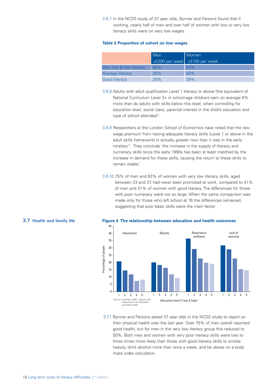3.6.7 In the NCDS study of 37 year olds, Bynner and Parsons found that if working, nearly half of men and over half of women with low or very low literacy skills were on very low wages.

### **Table 2 Proportion of cohort on low wages**

|                         | Men | <b>I</b> Women<br>$\leq$ £200 per week $\leq$ £150 per week |
|-------------------------|-----|-------------------------------------------------------------|
| Very low & low literacy | 42% | 53%                                                         |
| Average literacy        | 35% | 43%                                                         |
| <b>Good literacy</b>    | 24% | 39%                                                         |

- 3.6.8 Adults with adult qualification Level 1 literacy or above (the equivalent of National Curriculum Level 3+ in school-age children) earn on average 6% more than do adults with skills below this level, when controlling for education level, social class, parental interest in the child's education and type of school attended<sup>11</sup>.
- 3.6.9 Researchers at the London School of Economics have noted that the raw wage premium from having adequate literacy skills (Level 1 or above in the adult skills framework) is actually greater now than it was in the early nineties<sup>12</sup>. They conclude 'the increase in the supply of literacy and numeracy skills since the early 1990s has been at least matched by the increase in demand for these skills, causing the return to these skills to remain stable'.
- 3.6.10 75% of men and 63% of women with very low literacy skills, aged between 23 and 37, had never been promoted at work, compared to 41% of men and 31% of women with good literacy. The differences for those with poor numeracy were not so large. When the same comparison was made only for those who left school at 16 the differences remained, suggesting that poor basic skills were the main factor.



#### **Figure 4 The relationship between education and health outcomes**

3.7.1 Bynner and Parsons asked 37 year olds in the NCDS study to report on their physical health over the last year. Over 75% of men overall reported good health, but for men in the very low literacy group this reduced to 50%. Both men and women with very poor literacy skills were two to three times more likely than those with good literacy skills to smoke heavily, drink alcohol more than once a week, and be obese on a body mass index calculation.

**3.7 Health and family life**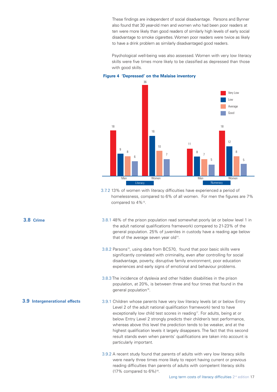These findings are independent of social disadvantage. Parsons and Bynner also found that 30 year-old men and women who had been poor readers at ten were more likely than good readers of similarly high levels of early social disadvantage to smoke cigarettes. Women poor readers were twice as likely to have a drink problem as similarly disadvantaged good readers.

Psychological well-being was also assessed. Women with very low literacy skills were five times more likely to be classified as depressed than those with good skills.



#### **Figure 4 'Depressed' on the Malaise inventory**

3.7. 2 13% of women with literacy difficulties have experienced a period of homelessness, compared to 6% of all women. For men the figures are 7% compared to 4%<sup>13</sup>.

- 3.8.1 48% of the prison population read somewhat poorly (at or below level 1 in the adult national qualifications framework) compared to 21-23% of the general population. 25% of juveniles in custody have a reading age below that of the average seven year old<sup>14</sup>.
- 3.8.2 Parsons<sup>15</sup>, using data from BCS70, found that poor basic skills were significantly correlated with criminality, even after controlling for social disadvantage, poverty, disruptive family environment, poor education experiences and early signs of emotional and behaviour problems.
- 3.8.3 The incidence of dyslexia and other hidden disabilities in the prison population, at 20%, is between three and four times that found in the general population<sup>16</sup>.
- 3.9.1 Children whose parents have very low literacy levels (at or below Entry Level 2 of the adult national qualification framework) tend to have exceptionally low child test scores in reading<sup>17</sup>. For adults, being at or below Entry Level 2 strongly predicts their children's test performance, whereas above this level the prediction tends to be weaker, and at the highest qualification levels it largely disappears. The fact that this second result stands even when parents' qualifications are taken into account is particularly important.
- 3.9.2 A recent study found that parents of adults with very low literacy skills were nearly three times more likely to report having current or previous reading difficulties than parents of adults with competent literacy skills  $(17\%$  compared to  $6\%)$ <sup>18</sup>.

### **3.8 Crime**

#### **3.9 Intergenerational effects**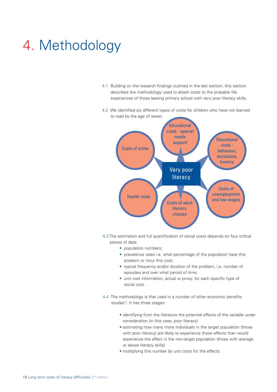### 4. Methodology

4.1 Building on the research findings outlined in the last section, this section describes the methodology used to attach costs to the probable life experiences of those leaving primary school with very poor literacy skills.



4.2 We identified six different types of costs for children who have not learned to read by the age of seven.

- 4.3 The estimation and full quantification of social costs depends on four critical pieces of data:
	- population numbers;
	- prevalence rates i.e. what percentage of the population have this problem or incur this cost;
	- typical frequency and/or duration of the problem, i.e. number of episodes and over what period of time;
	- unit cost information, actual or proxy, for each specific type of social cost.
- 4.4 The methodology is that used in a number of other economic benefits studies<sup>19</sup>. It has three stages:
	- identifying from the literature the potential effects of the variable under consideration (in this case, poor literacy)
	- estimating how many more individuals in the target population (those with poor literacy) are likely to experience these effects than would experience the effect in the non-target population (those with average or above literacy skills)
	- multiplying this number by unit costs for the effects.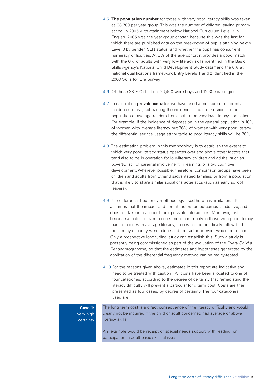- 4.5 **The population number** for those with very poor literacy skills was taken as 38,700 per year group. This was the number of children leaving primary school in 2005 with attainment below National Curriculum Level 3 in English. 2005 was the year group chosen because this was the last for which there are published data on the breakdown of pupils attaining below Level 3 by gender, SEN status, and whether the pupil has concurrent numeracy difficulties. At 6% of the age cohort it provides a good match with the 6% of adults with very low literacy skills identified in the Basic Skills Agency's National Child Development Study data<sup>20</sup> and the 6% at national qualifications framework Entry Levels 1 and 2 identified in the 2003 Skills for Life Survey<sup>21</sup>.
- 4.6 Of these 38,700 children, 26,400 were boys and 12,300 were girls.
- 4.7 In calculating **prevalence rates** we have used a measure of differential incidence or use, subtracting the incidence or use of services in the population of average readers from that in the very low literacy population . For example, if the incidence of depression in the general population is 10% of women with average literacy but 36% of women with very poor literacy, the differential service usage attributable to poor literacy skills will be 26%.
- 4.8 The estimation problem in this methodology is to establish the extent to which very poor literacy status operates over and above other factors that tend also to be in operation for low-literacy children and adults, such as poverty, lack of parental involvement in learning, or slow cognitive development. Wherever possible, therefore, comparison groups have been children and adults from other disadvantaged families, or from a population that is likely to share similar social characteristics (such as early school leavers).
- 4.9 The differential frequency methodology used here has limitations. It assumes that the impact of different factors on outcomes is additive, and does not take into account their possible interactions. Moreover, just because a factor or event occurs more commonly in those with poor literacy than in those with average literacy, it does not automatically follow that if the literacy difficulty were addressed the factor or event would not occur. Only a prospective longitudinal study can establish this. Such a study is presently being commissioned as part of the evaluation of the Every Child a Reader programme, so that the estimates and hypotheses generated by the application of the differential frequency method can be reality-tested.
- 4.10 For the reasons given above, estimates in this report are indicative and need to be treated with caution. All costs have been allocated to one of four categories, according to the degree of certainty that remediating the literacy difficulty will prevent a particular long term cost. Costs are then presented as four cases, by degree of certainty. The four categories used are:

**Case 1:** Very high certainty

The long term cost is a direct consequence of the literacy difficulty and would clearly not be incurred if the child or adult concerned had average or above literacy skills.

An example would be receipt of special needs support with reading, or participation in adult basic skills classes.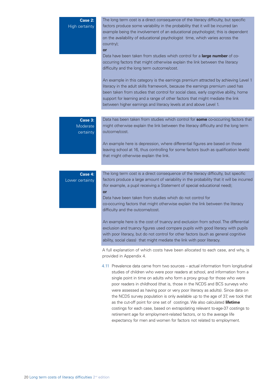| Case 2:        |  |
|----------------|--|
| High certainty |  |

The long term cost is a direct consequence of the literacy difficulty, but specific factors produce some variability in the probability that it will be incurred (an example being the involvement of an educational psychologist; this is dependent on the availability of educational psychologist time, which varies across the country);

### **or**

Data have been taken from studies which control for a **large number** of cooccurring factors that might otherwise explain the link between the literacy difficulty and the long term outcome/cost.

An example in this category is the earnings premium attracted by achieving Level 1 literacy in the adult skills framework, because the earnings premium used has been taken from studies that control for social class, early cognitive ability, home support for learning and a range of other factors that might mediate the link between higher earnings and literacy levels at and above Level 1.

| Case 3:<br>Moderate<br>certainty | Data has been taken from studies which control for <b>some</b> co-occurring factors that<br>might otherwise explain the link between the literacy difficulty and the long term<br>outcome/cost.<br>An example here is depression, where differential figures are based on those<br>leaving school at 16, thus controlling for some factors (such as qualification levels)<br>that might otherwise explain the link.                                      |
|----------------------------------|----------------------------------------------------------------------------------------------------------------------------------------------------------------------------------------------------------------------------------------------------------------------------------------------------------------------------------------------------------------------------------------------------------------------------------------------------------|
|                                  |                                                                                                                                                                                                                                                                                                                                                                                                                                                          |
| Case 4:<br>Lower certainty       | The long term cost is a direct consequence of the literacy difficulty, but specific<br>factors produce a large amount of variability in the probability that it will be incurred<br>(for example, a pupil receiving a Statement of special educational need);<br>or<br>Data have been taken from studies which do not control for<br>co-occurring factors that might otherwise explain the link between the literacy<br>difficulty and the outcome/cost. |
|                                  | An example here is the cost of truancy and exclusion from school. The differential<br>exclusion and truancy figures used compare pupils with good literacy with pupils<br>with poor literacy, but do not control for other factors (such as general cognitive<br>ability, social class) that might mediate the link with poor literacy.                                                                                                                  |
|                                  | A full explanation of which costs have been allocated to each case, and why, is<br>provided in Appendix 4.                                                                                                                                                                                                                                                                                                                                               |
|                                  | 4.11 Prevalence data came from two sources – actual information from longitudinal<br>studies of children who were poor readers at school, and information from a<br>single point in time on adults who form a proxy group for those who were<br>poor readers in childhood (that is, those in the NCDS and BCS surveys who<br>were assessed as having poor or very poor literacy as adults). Since data on                                                |

the NCDS survey population is only available up to the age of 37, we took that as the cut-off point for one set of costings. We also calculated **lifetime** costings for each case, based on extrapolating relevant to-age-37 costings to

retirement age for employment-related factors, or to the average life expectancy for men and women for factors not related to employment.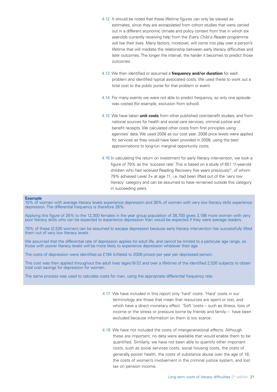- 4.12 It should be noted that these lifetime figures can only be viewed as estimates, since they are extrapolated from cohort studies that were carried out in a different economic climate and policy context from that in which sixyear-olds currently receiving help from the Every Child a Reader programme will live their lives. Many factors, moreover, will come into play over a person's lifetime that will mediate the relationship between early literacy difficulties and later outcomes. The longer the interval, the harder it becomes to predict those outcomes.
- 4.13 We then identified or assumed a **frequency and/or duration** for each problem and identified typical associated costs. We used these to work out a total cost to the public purse for that problem or event.
- 4.14 For many events we were not able to predict frequency, so only one episode was costed (for example, exclusion from school).
- 4.15 We have taken **unit costs** from other published cost-benefit studies, and from national sources for health and social care services, criminal justice and benefit receipts. We calculated other costs from first principles using agencies' data. We used 2008 as our cost year. 2008 price levels were applied for services as they would have been provided in 2008, using the best approximations to long-run marginal opportunity costs.
- 4.16 In calculating the return on investment for early literacy intervention, we took a figure of 79% as the 'success rate'. This is based on a study of 651 11-year-old children who had received Reading Recovery five years previously<sup>22</sup>, of whom 79% achieved Level 3+ at age 11, i.e. had been lifted out of the 'very low literacy' category and can be assumed to have remained outside this category in succeeding years.

#### **Example**

10% of women with average literacy levels experience depression and 36% of women with very low literacy skills experience depression. The differential frequency is therefore 26%.

Applying this figure of 26% to the 12,300 females in the year group population of 38,700 gives 3,198 more women with very poor literacy skills who can be expected to experience depression than would be expected if they were average readers.

79% of these (2,526 women) can be assumed to escape depression because early literacy intervention has successfully lifted them out of very low literacy levels.

We assumed that the differential rate of depression applies for adult life, and cannot be limited to a particular age range, so those with poorer literacy levels will be more likely to experience depression whatever their age.

The costs of depression were identified as £194 (inflated to 2008 prices) per year per depressed person.

This cost was then applied throughout the adult lives (ages18-37, and over a lifetime) of the identified 2,526 subjects to obtain total cost savings for depression for women.

The same process was used to calculate costs for men, using the appropriate differential frequency rate.

- 4.17 We have included in this report only 'hard' costs. 'Hard' costs in our terminology are those that mean that resources are spent or lost, and which have a direct monetary effect. 'Soft 'costs – such as illness, loss of income or the stress or pressure borne by friends and family – have been excluded because information on them is too scarce.
- 4.18 We have not included the costs of intergenerational effects. Although these are important, no data were available that would enable them to be quantified. Similarly, we have not been able to quantify other important costs, such as social services costs, social housing costs, the costs of generally poorer health, the costs of substance abuse over the age of 18, the costs of women's involvement in the criminal justice system, and lost tax on pension income.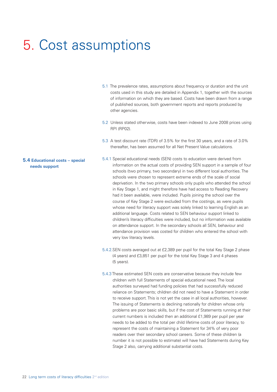### 5. Cost assumptions

- 5.1 The prevalence rates, assumptions about frequency or duration and the unit costs used in this study are detailed in Appendix 1, together with the sources of information on which they are based. Costs have been drawn from a range of published sources, both government reports and reports produced by other agencies.
- 5.2 Unless stated otherwise, costs have been indexed to June 2008 prices using RPI (RP02).
- 5.3 A test discount rate (TDR) of 3.5% for the first 30 years, and a rate of 3.0% thereafter, has been assumed for all Net Present Value calculations.
- 5.4.1 Special educational needs (SEN) costs to education were derived from information on the actual costs of providing SEN support in a sample of four schools (two primary, two secondary) in two different local authorities. The schools were chosen to represent extreme ends of the scale of social deprivation. In the two primary schools only pupils who attended the school in Key Stage 1, and might therefore have had access to Reading Recovery had it been available, were included. Pupils joining the school over the course of Key Stage 2 were excluded from the costings, as were pupils whose need for literacy support was solely linked to learning English as an additional language. Costs related to SEN behaviour support linked to children's literacy difficulties were included, but no information was available on attendance support. In the secondary schools all SEN, behaviour and attendance provision was costed for children who entered the school with very low literacy levels.
- 5.4.2.SEN costs averaged out at £2,389 per pupil for the total Key Stage 2 phase (4 years) and £3,851 per pupil for the total Key Stage 3 and 4 phases (5 years).
- 5.4.3 These estimated SEN costs are conservative because they include few children with full Statements of special educational need. The local authorities surveyed had funding policies that had successfully reduced reliance on Statements; children did not need to have a Statement in order to receive support. This is not yet the case in all local authorities, however. The issuing of Statements is declining nationally for children whose only problems are poor basic skills, but if the cost of Statements running at their current numbers is included then an additional £1,989 per pupil per year needs to be added to the total per child lifetime costs of poor literacy, to represent the costs of maintaining a Statement for 34% of very poor readers over their secondary school careers. Some of these children (a number it is not possible to estimate) will have had Statements during Key Stage 2 also, carrying additional substantial costs.

**5.4 Educational costs – special needs support**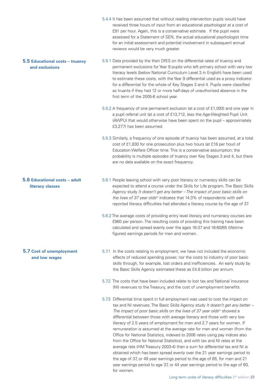|                                                          | 5.4.4 It has been assumed that without reading intervention pupils would have<br>received three hours of input from an educational psychologist at a cost of<br>£91 per hour. Again, this is a conservative estimate. If the pupil were<br>assessed for a Statement of SEN, the actual educational psychologist time<br>for an initial assessment and potential involvement in subsequent annual<br>reviews would be very much greater.                                                                                                                                                                                                                                                                                                                                                                                                                                                                                                                                            |
|----------------------------------------------------------|------------------------------------------------------------------------------------------------------------------------------------------------------------------------------------------------------------------------------------------------------------------------------------------------------------------------------------------------------------------------------------------------------------------------------------------------------------------------------------------------------------------------------------------------------------------------------------------------------------------------------------------------------------------------------------------------------------------------------------------------------------------------------------------------------------------------------------------------------------------------------------------------------------------------------------------------------------------------------------|
| 5.5 Educational costs - truancy<br>and exclusions        | 5.5.1 Data provided by the then DfES on the differential rates of truancy and<br>permanent exclusions for Year 9 pupils who left primary school with very low<br>literacy levels (below National Curriculum Level 3 in English) have been used<br>to estimate these costs, with the Year 9 differential used as a proxy indicator<br>for a differential for the whole of Key Stages 3 and 4. Pupils were classified<br>as truants if they had 12 or more half-days of unauthorised absence in the<br>first term of the 2005-6 school year.                                                                                                                                                                                                                                                                                                                                                                                                                                         |
|                                                          | 5.5.2 A frequency of one permanent exclusion (at a cost of £1,093) and one year in<br>a pupil referral unit (at a cost of £13,712, less the Age-Weighted Pupil Unit<br>(AWPU) that would otherwise have been spent on the pupil - approximately<br>£3,277) has been assumed.                                                                                                                                                                                                                                                                                                                                                                                                                                                                                                                                                                                                                                                                                                       |
|                                                          | 5.5.3 Similarly, a frequency of one episode of truancy has been assumed, at a total<br>cost of £1,830 for one prosecution plus two hours (at £18 per hour) of<br>Education Welfare Officer time. This is a conservative assumption; the<br>probability is multiple episodes of truancy over Key Stages 3 and 4, but there<br>are no data available on the exact frequency.                                                                                                                                                                                                                                                                                                                                                                                                                                                                                                                                                                                                         |
| 5.6 Educational costs - adult<br><b>literacy classes</b> | 5.6.1 People leaving school with very poor literacy or numeracy skills can be<br>expected to attend a course under the Skills for Life program. The Basic Skills<br>Agency study It doesn't get any better - The impact of poor basic skills on<br>the lives of 37 year olds <sup>23</sup> indicates that 14.3% of respondents with self-<br>reported literacy difficulties had attended a literacy course by the age of 37.                                                                                                                                                                                                                                                                                                                                                                                                                                                                                                                                                       |
|                                                          | 5.6.2 The average costs of providing entry level literacy and numeracy courses are<br>£960 per person. The resulting costs of providing this training have been<br>calculated and spread evenly over the ages 16-37 and 16-60/65 (lifetime<br>figures) earnings periods for men and women.                                                                                                                                                                                                                                                                                                                                                                                                                                                                                                                                                                                                                                                                                         |
| 5.7 Cost of unemployment<br>and low wages                | 5.7.1 In the costs relating to employment, we have not included the economic<br>effects of reduced spending power, nor the costs to industry of poor basic<br>skills through, for example, lost orders and inefficiencies. An early study by<br>the Basic Skills Agency estimated these as £4.8 billion per annum.                                                                                                                                                                                                                                                                                                                                                                                                                                                                                                                                                                                                                                                                 |
|                                                          | 5.7.2 The costs that have been included relate to lost tax and National Insurance<br>(NI) revenues to the Treasury, and the cost of unemployment benefits.                                                                                                                                                                                                                                                                                                                                                                                                                                                                                                                                                                                                                                                                                                                                                                                                                         |
|                                                          | 5.7.3 Differential time spent in full employment was used to cost the impact on<br>tax and NI revenues. The Basic Skills Agency study It doesn't get any better -<br>The impact of poor basic skills on the lives of 37 year olds <sup>24</sup> showed a<br>differential between those with average literacy and those with very low<br>literacy of 2.5 years of employment for men and 2.7 years for women. If<br>remuneration is assumed at the average rate for men and women (from the<br>Office for National Statistics, indexed to 2006 rates using pay indices also<br>from the Office for National Statistics), and with tax and NI rates at the<br>average rate (HM Treasury 2003-4) then a sum for differential tax and NI is<br>obtained which has been spread evenly over the 21 year earnings period to<br>the age of 37, or 49 year earnings period to the age of 65, for men and 21<br>year earnings period to age 37, or 44 year earnings period to the age of 60, |

for women.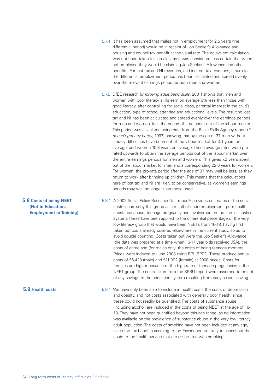- 5.7.4 It has been assumed that males not in employment for 2.5 years (the differential period) would be in receipt of Job Seeker's Allowance and housing and council tax benefit at the usual rate. The equivalent calculation was not undertaken for females, as it was considered less certain that when not employed they would be claiming Job Seeker's Allowance and other benefits. For lost tax and NI revenues, and indirect tax revenues, a sum for the differential employment period has been calculated and spread evenly over the relevant earnings period for both men and women.
- 5.7.5 DfEE research (Improving adult basic skills, 2001) shows that men and women with poor literacy skills earn on average 6% less than those with good literacy, after controlling for social class, parental interest in the child's education, type of school attended and educational levels. The resulting lost tax and NI has been calculated and spread evenly over the earnings periods for men and women, less the period of time spent out of the labour market. This period was calculated using data from the Basic Skills Agency report (It doesn't get any better, 1997) showing that by the age of 37 men without literacy difficulties have been out of the labour market for 3.1 years on average, and women 10.8 years on average. These average rates were prorated upwards to obtain the average periods out of the labour market over the entire earnings periods for men and women. This gives 7.2 years spent out of the labour market for men and a corresponding 22.6 years for women. For women, the pro-rata period after the age of 37 may well be less, as they return to work after bringing up children. This means that the calculations here of lost tax and NI are likely to be conservative, as women's earnings periods may well be longer than those used.
- 5.8.1 A 2002 Social Policy Research Unit report<sup>25</sup> provides estimates of the social costs incurred by this group as a result of underemployment, poor health, substance abuse, teenage pregnancy and involvement in the criminal justice system. These have been applied to the differential percentage of the very low literacy group that would have been NEETs from 16-18, having first taken out costs already covered elsewhere in the current study, so as to avoid double counting. Costs taken out were the Job Seeker's Allowance (the data was prepared at a time when 16-17 year olds received JSA), the costs of crime and (for males only) the costs of being teenage mothers. Prices were indexed to June 2008 using RPI (RP02). These produce annual costs of £6,428 (male) and £11,092 (female) at 2008 prices. Costs for females are higher because of the high rate of teenage pregnancies in the NEET group. The costs taken from the SPRU report were assumed to be net of any savings to the education system resulting from early school leaving.
- 5.9.1 We have only been able to include in health costs the costs of depression and obesity, and not costs associated with generally poor health, since these could not readily be quantified. The costs of substance abuse (including alcohol) are included in the costs of being NEET at the age of 16- 18. They have not been quantified beyond this age range, as no information was available on the prevalence of substance abuse in the very low literacy adult population. The costs of smoking have not been included at any age, since the tax benefits accruing to the Exchequer are likely to cancel out the costs to the health service that are associated with smoking.

**5.8 Costs of being NEET (Not in Education, Employment or Training)**

### **5.9 Health costs**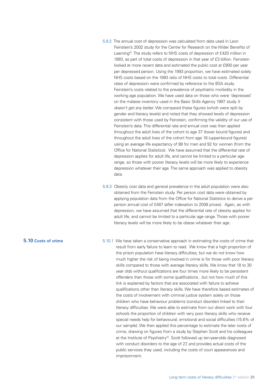- 5.9.2 The annual cost of depression was calculated from data used in Leon Feinstein's 2002 study for the Centre for Research on the Wider Benefits of Learning<sup>26</sup>. The study refers to NHS costs of depression of £420 million in 1993, as part of total costs of depression in that year of £3 billion. Feinstein looked at more recent data and estimated the public cost at £900 per year per depressed person. Using the 1993 proportion, we have estimated solely NHS costs based on the 1993 ratio of NHS costs to total costs. Differential rates of depression were confirmed by reference to the BSA study. Feinstein's costs related to the prevalence of psychiatric morbidity in the working age population. We have used data on those who were 'depressed' on the malaise inventory used in the Basic Skills Agency 1997 study It doesn't get any better. We compared these figures (which were split by gender and literacy levels) and noted that they showed levels of depression consistent with those used by Feinstein, confirming the validity of our use of Feinstein's data. This differential rate and annual cost was then applied throughout the adult lives of the cohort to age 37 (lower bound figures) and throughout the adult lives of the cohort from age 18 (upper-bound figures) using an average life expectancy of 88 for men and 92 for women (from the Office for National Statistics). We have assumed that the differential rate of depression applies for adult life, and cannot be limited to a particular age range, so those with poorer literacy levels will be more likely to experience depression whatever their age. The same approach was applied to obesity data.
- 5.9.3 Obesity cost data and general prevalence in the adult population were also obtained from the Feinstein study. Per person cost data were obtained by applying population data from the Office for National Statistics to derive a per person annual cost of £487 (after indexation to 2008 prices). Again, as with depression, we have assumed that the differential rate of obesity applies for adult life, and cannot be limited to a particular age range. Those with poorer literacy levels will be more likely to be obese whatever their age.
- 5.10.1 We have taken a conservative approach in estimating the costs of crime that result from early failure to learn to read. We know that a high proportion of the prison population have literacy difficulties, but we do not know how much higher the risk of being involved in crime is for those with poor literacy skills compared to those with average literacy skills. We know that 18 to 30 year olds without qualifications are four times more likely to be persistent offenders than those with some qualifications , but not how much of this link is explained by factors that are associated with failure to achieve qualifications other than literacy skills. We have therefore based estimates of the costs of involvement with criminal justice system solely on those children who have behaviour problems (conduct disorder) linked to their literacy difficulties. We were able to estimate from our direct work with four schools the proportion of children with very poor literacy skills who receive special needs help for behavioural, emotional and social difficulties (15.6% of our sample). We then applied this percentage to estimate the later costs of crime, drawing on figures from a study by Stephen Scott and his colleagues at the Institute of Psychiatry<sup>28</sup>. Scott followed up ten-year-olds diagnosed with conduct disorders to the age of 27, and provides actual costs of the public services they used, including the costs of court appearances and imprisonment.

#### **5.10 Costs of crime**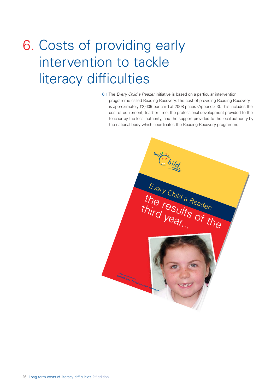### 6. Costs of providing early intervention to tackle literacy difficulties

6.1 The Every Child a Reader initiative is based on a particular intervention programme called Reading Recovery. The cost of providing Reading Recovery is approximately £2,609 per child at 2008 prices (Appendix 3). This includes the cost of equipment, teacher time, the professional development provided to the teacher by the local authority, and the support provided to the local authority by the national body which coordinates the Reading Recovery programme.

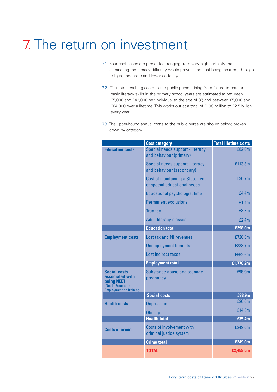### 7. The return on investment

- 7.1 Four cost cases are presented, ranging from very high certainty that eliminating the literacy difficulty would prevent the cost being incurred, through to high, moderate and lower certainty.
- 7.2 The total resulting costs to the public purse arising from failure to master basic literacy skills in the primary school years are estimated at between £5,000 and £43,000 per individual to the age of 37, and between £5,000 and £64,000 over a lifetime. This works out at a total of £198 million to £2.5 billion every year.
- 7.3 The upper-bound annual costs to the public purse are shown below, broken down by category.

|                                                                                                                     | <b>Cost category</b>                                            | <b>Total lifetime costs</b> |
|---------------------------------------------------------------------------------------------------------------------|-----------------------------------------------------------------|-----------------------------|
| <b>Education costs</b>                                                                                              | Special needs support - literacy<br>and behaviour (primary)     | £82.0m                      |
|                                                                                                                     | Special needs support -literacy<br>and behaviour (secondary)    | £113.3m                     |
|                                                                                                                     | Cost of maintaining a Statement<br>of special educational needs | £90.7 <sub>m</sub>          |
|                                                                                                                     | <b>Educational psychologist time</b>                            | f4.4m                       |
|                                                                                                                     | <b>Permanent exclusions</b>                                     | £1.4m                       |
|                                                                                                                     | <b>Truancy</b>                                                  | £3.8m                       |
|                                                                                                                     | <b>Adult literacy classes</b>                                   | f2.4m                       |
|                                                                                                                     | <b>Education total</b>                                          | £298.0m                     |
| <b>Employment costs</b>                                                                                             | Lost tax and NI revenues                                        | £726.9m                     |
|                                                                                                                     | <b>Unemployment benefits</b>                                    | £388.7m                     |
|                                                                                                                     | Lost indirect taxes                                             | £662.6m                     |
|                                                                                                                     | <b>Employment total</b>                                         | £1,778.2m                   |
| <b>Social costs</b><br>associated with<br><b>being NEET</b><br>(Not in Education,<br><b>Employment or Training)</b> | Substance abuse and teenage<br>pregnancy                        | £98.9m                      |
|                                                                                                                     | <b>Social costs</b>                                             | £98.9m                      |
| <b>Health costs</b>                                                                                                 | <b>Depression</b>                                               | £20.6m                      |
|                                                                                                                     | <b>Obesity</b>                                                  | £14.8m                      |
|                                                                                                                     | <b>Health total</b>                                             | £35.4m                      |
| <b>Costs of crime</b>                                                                                               | <b>Costs of involvement with</b><br>criminal justice system     | £249.0m                     |
|                                                                                                                     | <b>Crime total</b>                                              | £249.0m                     |
|                                                                                                                     | <b>TOTAL</b>                                                    | £2,459.5m                   |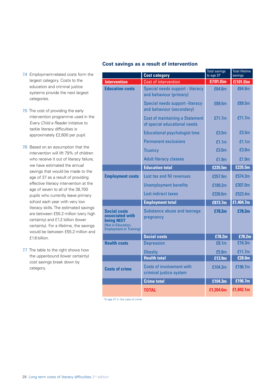### **Cost savings as a result of intervention**

|                                                                                                                     | <b>Cost category</b>                                            | <b>Total savings</b><br>to age 37' | <b>Total lifetime</b><br>savings |
|---------------------------------------------------------------------------------------------------------------------|-----------------------------------------------------------------|------------------------------------|----------------------------------|
| <b>Intervention</b>                                                                                                 | <b>Cost of intervention</b>                                     | $E(101.0)$ m                       | $E(101.0)$ m                     |
| <b>Education costs</b>                                                                                              | Special needs support - literacy<br>and behaviour (primary)     | £64.8m                             | £64.8m                           |
|                                                                                                                     | Special needs support -literacy<br>and behaviour (secondary)    | £89.5m                             | £89.5m                           |
|                                                                                                                     | Cost of maintaining a Statement<br>of special educational needs | f71.7m                             | $f$ 71.7m                        |
|                                                                                                                     | <b>Educational psychologist time</b>                            | f3.5m                              | £3.5m                            |
|                                                                                                                     | <b>Permanent exclusions</b>                                     | f1.1m                              | f1.1m                            |
|                                                                                                                     | <b>Truancy</b>                                                  | £3.0 <sub>m</sub>                  | f3.0m                            |
|                                                                                                                     | <b>Adult literacy classes</b>                                   | £1.9 <sub>m</sub>                  | £1.9m                            |
|                                                                                                                     | <b>Education total</b>                                          | £235.5m                            | £235.5m                          |
| <b>Employment costs</b>                                                                                             | Lost tax and NI revenues                                        | £357.9m                            | £574.3m                          |
|                                                                                                                     | <b>Unemployment benefits</b>                                    | £189.2m                            | £307.0m                          |
|                                                                                                                     | <b>Lost indirect taxes</b>                                      | £326.6m                            | £523.4m                          |
|                                                                                                                     | <b>Employment total</b>                                         | £873.7m                            | £1,404.7m                        |
| <b>Social costs</b><br>associated with<br><b>being NEET</b><br>(Not in Education,<br><b>Employment or Training)</b> | Substance abuse and teenage<br>pregnancy                        | £78.2m                             | £78.2m                           |
|                                                                                                                     | <b>Social costs</b>                                             | £78.2m                             | £78.2m                           |
| <b>Health costs</b>                                                                                                 | <b>Depression</b>                                               | £8.1m                              | £16.3m                           |
|                                                                                                                     | <b>Obesity</b>                                                  | £5.8m                              | f11.7m                           |
|                                                                                                                     | <b>Health total</b>                                             | £13.9m                             | £28.0m                           |
| <b>Costs of crime</b>                                                                                               | <b>Costs of involvement with</b><br>criminal justice system     | £104.3m                            | £196.7m                          |
|                                                                                                                     | <b>Crime total</b>                                              | £104.3m                            | £196.7m                          |
|                                                                                                                     | <b>TOTAL</b>                                                    | £1,204.6m                          | £1,842.1m                        |

<sup>1</sup> To age 27 in the case of crime

- 7.4 Employment-related costs form the largest category. Costs to the education and criminal justice systems provide the next largest categories.
- 7.5 The cost of providing the early intervention programme used in the Every Child a Reader initiative to tackle literacy difficulties is approximately £2,600 per pupil.
- 7.6 Based on an assumption that the intervention will lift 79% of children who receive it out of literacy failure, we have estimated the annual savings that would be made to the age of 37 as a result of providing effective literacy intervention at the age of seven to all of the 38,700 pupils who currently leave primary school each year with very low literacy skills. The estimated savings are between £55.2 million (very high certainty) and £1.2 billion (lower certainty). For a lifetime, the savings would be between £55.2 million and £1.8 billion.
- 7.7 The table to the right shows how the upper-bound (lower certainty) cost savings break down by category.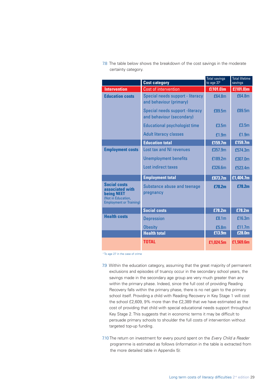|                                                                                                                     | <b>Cost category</b>                                         | <b>Total savings</b><br>to age $372$ | <b>Total lifetime</b><br>savings |
|---------------------------------------------------------------------------------------------------------------------|--------------------------------------------------------------|--------------------------------------|----------------------------------|
| <b>Intervention</b>                                                                                                 | <b>Cost of intervention</b>                                  | $E(101.0)$ m                         | $E(101.0)$ m                     |
| <b>Education costs</b>                                                                                              | Special needs support - literacy<br>and behaviour (primary)  | £64.8m                               | £64.8m                           |
|                                                                                                                     | Special needs support -literacy<br>and behaviour (secondary) | £89.5m                               | £89.5m                           |
|                                                                                                                     | <b>Educational psychologist time</b>                         | £3.5m                                | £3.5m                            |
|                                                                                                                     | <b>Adult literacy classes</b>                                | £1.9m                                | £1.9m                            |
|                                                                                                                     | <b>Education total</b>                                       | £159.7m                              | £159.7m                          |
| <b>Employment costs</b>                                                                                             | Lost tax and NI revenues                                     | £357.9m                              | £574.3m                          |
|                                                                                                                     | <b>Unemployment benefits</b>                                 | £189.2m                              | £307.0m                          |
|                                                                                                                     | Lost indirect taxes                                          | £326.6m                              | £523.4m                          |
|                                                                                                                     | <b>Employment total</b>                                      | £873.7m                              | £1,404.7m                        |
| <b>Social costs</b><br>associated with<br><b>being NEET</b><br>(Not in Education,<br><b>Employment or Training)</b> | Substance abuse and teenage<br>pregnancy                     | £78.2m                               | £78.2m                           |
|                                                                                                                     | <b>Social costs</b>                                          | £78.2m                               | £78.2m                           |
| <b>Health costs</b>                                                                                                 | <b>Depression</b>                                            | £8.1m                                | £16.3m                           |
|                                                                                                                     | <b>Obesity</b>                                               | £5.8m                                | £11.7m                           |
|                                                                                                                     | <b>Health total</b>                                          | £13.9m                               | £28.0m                           |
|                                                                                                                     | <b>TOTAL</b>                                                 | £1,024.5m                            | £1.569.6m                        |

7.8 The table below shows the breakdown of the cost savings in the moderate certainty category.

<sup>2</sup> To age 27 in the case of crime

- 7.9 Within the education category, assuming that the great majority of permanent exclusions and episodes of truancy occur in the secondary school years, the savings made in the secondary age group are very much greater than any within the primary phase. Indeed, since the full cost of providing Reading Recovery falls within the primary phase, there is no net gain to the primary school itself. Providing a child with Reading Recovery in Key Stage 1 will cost the school £2,609, 9% more than the £2,389 that we have estimated as the cost of providing that child with special educational needs support throughout Key Stage 2. This suggests that in economic terms it may be difficult to persuade primary schools to shoulder the full costs of intervention without targeted top-up funding.
- 7.10 The return on investment for every pound spent on the Every Child a Reader programme is estimated as follows (information in the table is extracted from the more detailed table in Appendix 5):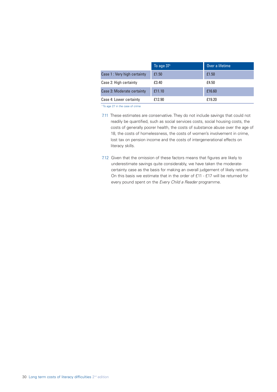|                             | To age $373$ | Over a lifetime |
|-----------------------------|--------------|-----------------|
| Case 1: Very high certainty | £1.50        | £1.50           |
| Case 2: High certainty      | £3.40        | £4.50           |
| Case 3: Moderate certainty  | £11.10       | £16.60          |
| Case 4: Lower certainty     | £12.90       | £19.20          |

<sup>3</sup> To age 27 in the case of crime

- 7.11 These estimates are conservative. They do not include savings that could not readily be quantified, such as social services costs, social housing costs, the costs of generally poorer health, the costs of substance abuse over the age of 18, the costs of homelessness, the costs of women's involvement in crime, lost tax on pension income and the costs of intergenerational effects on literacy skills.
- 7.12 Given that the omission of these factors means that figures are likely to underestimate savings quite considerably, we have taken the moderatecertainty case as the basis for making an overall judgement of likely returns. On this basis we estimate that in the order of £11 - £17 will be returned for every pound spent on the Every Child a Reader programme.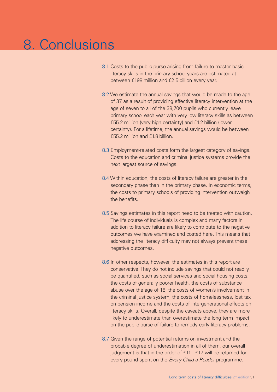### 8. Conclusions

- 8.1 Costs to the public purse arising from failure to master basic literacy skills in the primary school years are estimated at between £198 million and £2.5 billion every year.
- 8.2 We estimate the annual savings that would be made to the age of 37 as a result of providing effective literacy intervention at the age of seven to all of the 38,700 pupils who currently leave primary school each year with very low literacy skills as between £55.2 million (very high certainty) and £1.2 billion (lower certainty). For a lifetime, the annual savings would be between £55.2 million and £1.8 billion.
- 8.3 Employment-related costs form the largest category of savings. Costs to the education and criminal justice systems provide the next largest source of savings.
- 8.4 Within education, the costs of literacy failure are greater in the secondary phase than in the primary phase. In economic terms, the costs to primary schools of providing intervention outweigh the benefits.
- 8.5 Savings estimates in this report need to be treated with caution. The life course of individuals is complex and many factors in addition to literacy failure are likely to contribute to the negative outcomes we have examined and costed here. This means that addressing the literacy difficulty may not always prevent these negative outcomes.
- 8.6 In other respects, however, the estimates in this report are conservative. They do not include savings that could not readily be quantified, such as social services and social housing costs, the costs of generally poorer health, the costs of substance abuse over the age of 18, the costs of women's involvement in the criminal justice system, the costs of homelessness, lost tax on pension income and the costs of intergenerational effects on literacy skills. Overall, despite the caveats above, they are more likely to underestimate than overestimate the long term impact on the public purse of failure to remedy early literacy problems.
- 8.7 Given the range of potential returns on investment and the probable degree of underestimation in all of them, our overall judgement is that in the order of £11 - £17 will be returned for every pound spent on the Every Child a Reader programme.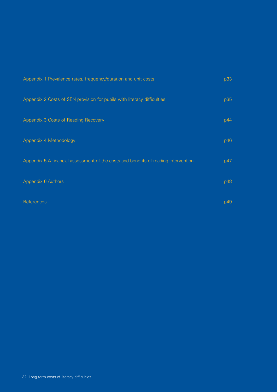| Appendix 1 Prevalence rates, frequency/duration and unit costs                      | p33 |
|-------------------------------------------------------------------------------------|-----|
| Appendix 2 Costs of SEN provision for pupils with literacy difficulties             | p35 |
| Appendix 3 Costs of Reading Recovery                                                | p44 |
| Appendix 4 Methodology                                                              | p46 |
| Appendix 5 A financial assessment of the costs and benefits of reading intervention | p47 |
| <b>Appendix 6 Authors</b>                                                           | p48 |
| References                                                                          | p49 |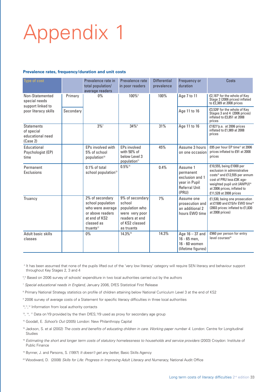### **Prevalence rates, frequency/duration and unit costs**

| Type of cost                                                    |           | Prevalence rate in<br>total population/<br>average readers                                                                           | Prevalence rate<br>in poor readers                                                                              | <b>Differential</b><br>prevalence | Frequency or<br>duration                                                                   | Costs                                                                                                                                                                                                                                  |
|-----------------------------------------------------------------|-----------|--------------------------------------------------------------------------------------------------------------------------------------|-----------------------------------------------------------------------------------------------------------------|-----------------------------------|--------------------------------------------------------------------------------------------|----------------------------------------------------------------------------------------------------------------------------------------------------------------------------------------------------------------------------------------|
| Non-Statemented<br>special needs<br>support linked to           | Primary   | $0\%$                                                                                                                                | 100% <sup>4</sup>                                                                                               | 100%                              | Age 7 to 11                                                                                | £2,187 <sup>5</sup> for the whole of Key<br>Stage 2 (2006 prices) inflated<br>to £2,389 at 2008 prices                                                                                                                                 |
| poor literacy skills                                            | Secondary |                                                                                                                                      |                                                                                                                 |                                   | Age 11 to 16                                                                               | £3,526 <sup>6</sup> for the whole of Key<br>Stages 3 and 4 (2006 prices)<br>inflated to £3,851 at 2008<br>prices                                                                                                                       |
| <b>Statements</b><br>of special<br>educational need<br>(Case 2) |           | $3\%$                                                                                                                                | 34% <sup>8</sup>                                                                                                | 31%                               | Age 11 to 16                                                                               | £1821 $^{\circ}$ p.a. at 2006 prices<br>inflated to £1,989 at 2008<br>prices                                                                                                                                                           |
| Educational<br>Psychologist (EP)<br>time                        |           | EPs involved with<br>5% of school<br>population <sup>10</sup>                                                                        | EPs involved<br>with 50% of<br>below Level 3<br>population <sup>11</sup>                                        | 45%                               | Assume 3 hours<br>on one occasion                                                          | £85 per hour EP time <sup>12</sup> at 2006<br>prices inflated to £91 at 2008<br>prices                                                                                                                                                 |
| Permanent<br>Exclusions                                         |           | 0.1% of total<br>school population <sup>13</sup>                                                                                     | $0.5\%$ <sup>14</sup>                                                                                           | 0.4%                              | Assume 1<br>permanent<br>exclusion and 1<br>year in Pupil<br><b>Referral Unit</b><br>(PRU) | £10,555, being £1000 per<br>exclusion in administrative<br>costs <sup>15</sup> and £12,555 per annum<br>cost of PRU less £3K age-<br>weighted pupil unit (AWPU) <sup>16</sup><br>at 2006 prices, inflated to<br>£11,528 at 2008 prices |
| Truancy                                                         |           | 2% of secondary<br>school population<br>who were average<br>or above readers<br>at end of KS2<br>classed as<br>truants <sup>17</sup> | 9% of secondary<br>school<br>population who<br>were very poor<br>readers at end<br>of KS2 classed<br>as truants | 7%                                | Assume one<br>prosecution and<br>an additional 2<br>hours EWO time                         | £1,530, being one prosecution<br>at £1500 and £15/hr EWO time <sup>18</sup><br>(2003 prices: inflated to £1,830<br>at 2008 prices)                                                                                                     |
| Adult basic skills<br>classes                                   |           | $0\%$                                                                                                                                | 14.3% <sup>19</sup>                                                                                             | 14.3%                             | Age $16 - 37$ and<br>$16 - 65$ men.<br>16 - 60 women<br>(lifetime figures)                 | £960 per person for entry<br>level courses <sup>20</sup>                                                                                                                                                                               |

4 It has been assumed that none of the pupils lifted out of the 'very low literacy' category will require SEN literacy and behaviour support throughout Key Stages 2, 3 and 4

5 , <sup>6</sup> Based on 2006 survey of schools' expenditure in two local authorities carried out by the authors

<sup>7</sup> Special educational needs in England, January 2006, DfES Statistical First Release

<sup>8</sup> Primary National Strategy statistics on profile of children attaining below National Curriculum Level 3 at the end of KS2

<sup>9</sup> 2006 survey of average costs of a Statement for specific literacy difficulties in three local authorities

<sup>10</sup>,<sup>11</sup>,<sup>12</sup> Information from local authority contacts

<sup>13</sup>, <sup>14</sup>, <sup>17</sup> Data on Y9 provided by the then DfES; Y9 used as proxy for secondary age group

<sup>15</sup> Goodall, E. School's Out (2005) London: New Philanthropy Capital

16 Jackson, S. et al (2002) The costs and benefits of educating children in care. Working paper number 4. London: Centre for Longitudinal Studies

18 Estimating the short and longer term costs of statutory homelessness to households and service providers (2003) Croydon: Institute of Public Finance

<sup>19</sup> Bynner, J. and Parsons, S. (1997) It doesn't get any better, Basic Skills Agency

<sup>20</sup> Woodward, D. (2008) Skills for Life: Progress in Improving Adult Literacy and Numeracy, National Audit Office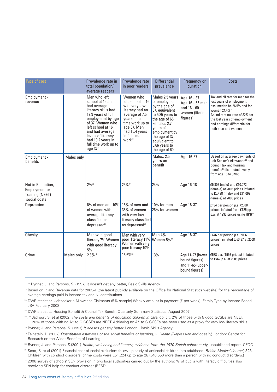| Type of cost                                                          |            | Prevalence rate in<br>total population/<br>average readers                                                                                                                                                                                                   | Prevalence rate<br>in poor readers                                                                                                                                                              | <b>Differential</b><br>prevalence                                                                                                                                                                                          | Frequency or<br>duration                                                       | Costs                                                                                                                                                                                                                                             |
|-----------------------------------------------------------------------|------------|--------------------------------------------------------------------------------------------------------------------------------------------------------------------------------------------------------------------------------------------------------------|-------------------------------------------------------------------------------------------------------------------------------------------------------------------------------------------------|----------------------------------------------------------------------------------------------------------------------------------------------------------------------------------------------------------------------------|--------------------------------------------------------------------------------|---------------------------------------------------------------------------------------------------------------------------------------------------------------------------------------------------------------------------------------------------|
| Employment -<br>revenue                                               |            | Men who left<br>school at 16 and<br>had average<br>literacy skills had<br>17.9 years of full<br>employment by age<br>of 37. Women who<br>left school at 16<br>and had average<br>levels of literacy<br>had 10.2 years in<br>full time work up to<br>age 3721 | Women who<br>left school at 16<br>with very low<br>literacy had an<br>average of 7.5<br>years in full<br>time work up to<br>age 37. Men<br>had 15.4 years<br>in full time<br>work <sup>22</sup> | Males 2.5 years<br>of employment<br>by the age of<br>37, equivalent<br>to 5.85 years to<br>the age of 65.<br>Females 2.7<br>years of<br>employment by<br>the age of 37,<br>equivalent to<br>5.66 years to<br>the age of 60 | Age 16 - 37<br>Age 16 - 65 men<br>and $16 - 60$<br>women (lifetime<br>figures) | Tax and NI rate for men for the<br>lost years of employment<br>assumed to be 26.5% and for<br>women 24.4% <sup>23</sup><br>An indirect tax rate of 32% for<br>the lost years of employment<br>and earnings differential for<br>both men and women |
| Employment -<br>benefits                                              | Males only |                                                                                                                                                                                                                                                              |                                                                                                                                                                                                 | Males: 2.5<br>vears on<br>benefit                                                                                                                                                                                          | Age 16-37                                                                      | Based on average payments of<br>Job Seeker's Allowance <sup>24</sup> and<br>council tax and housing<br>benefits <sup>25</sup> distributed evenly<br>from age 16 to 37/65                                                                          |
| Not in Education,<br>Employment or<br>Training (NEET)<br>social costs |            | $2\%^{26}$                                                                                                                                                                                                                                                   | 26%27                                                                                                                                                                                           | 24%                                                                                                                                                                                                                        | Age 16-18                                                                      | £5,802 (male) and £10,072<br>(female) at 2006 prices inflated<br>to £6,428 (male) and £11,092<br>(female) at 2008 prices                                                                                                                          |
| Depression                                                            |            | 8% of men and 10%<br>of women with<br>average literacy<br>classified as<br>depressed <sup>28</sup>                                                                                                                                                           | 18% of men and<br>36% of women<br>with very low<br>literacy classified<br>as depressed <sup>22</sup>                                                                                            | 10% for men<br>26% for women                                                                                                                                                                                               | Age 18-37                                                                      | £194 per person p.a. (2008<br>prices: inflated from £125 pp<br>p.a. at 1993 prices using RPI) <sup>29</sup>                                                                                                                                       |
| Obesity                                                               |            | Men with good<br>literacy 7% Women<br>with good literacy<br>5%                                                                                                                                                                                               | Men with very<br>poor literacy 11% Women 5%30<br>Women with very<br>poor literacy 10%                                                                                                           | Men 4%                                                                                                                                                                                                                     | Age 18-37                                                                      | £446 per person p.a.(2006<br>prices) inflated to £487 at 2008<br>prices                                                                                                                                                                           |
| Crime                                                                 | Males only | $2.8\%$ <sup>31</sup>                                                                                                                                                                                                                                        | 15.6%32                                                                                                                                                                                         | 13%                                                                                                                                                                                                                        | Age 11-27 (lower<br>bound figures)<br>and 11-65 (upper-<br>bound figures)      | £578 p.a. (1998 prices) inflated<br>to £767 p.a. at 2008 prices                                                                                                                                                                                   |

<sup>21, 22</sup> Bynner, J. and Parsons, S. (1997) It doesn't get any better, Basic Skills Agency

<sup>23</sup> Based on Inland Revenue data for 2003-4 (the latest publicly available on the Office for National Statistics website) for the percentage of average earnings paid in income tax and NI contributions

<sup>24</sup> DWP statistics Jobseeker's Allowance Claimants (5% sample) Weekly amount in payment (£ per week): Family Type by Income Based JSA February 2008

- <sup>25</sup> DWP statistics Housing Benefit & Council Tax Benefit Quarterly Summary Statistics: August 2007
- $26$ ,  $27$  Jackson, S. et al (2002) The costs and benefits of educating children in care, op. cit. 2% of those with 5 good GCSEs are NEET. 26% of those with no A\* to G GCSEs are NEET. Achieving no A\* to G GCSEs has been used as a proxy for very low literacy skills.
- <sup>28</sup> Bynner, J. and Parsons, S. (1997) It doesn't get any better. London: Basic Skills Agency
- <sup>29</sup> Feinstein, L. (2002) Quantitative estimates of the social benefits of learning, 2: Health (Depression and obesity) London: Centre for Research on the Wider Benefits of Learning
- 30 Bynner, J. and Parsons, S.(2001) Health, well being and literacy; evidence from the 1970 British cohort study, unpublished report, CEDC

<sup>31</sup> Scott, S. et al (2001) Financial cost of social exclusion: follow up study of antisocial children into adulthood. British Medical Journal. 323. Children with conduct disorders' crime costs were £51,224 up to age 28 (£46,550 more than a person with no conduct disorders.)

32 2006 survey of schools' SEN provision in two local authorities carried out by the authors: % of pupils with literacy difficulties also receiving SEN help for conduct disorder (BESD)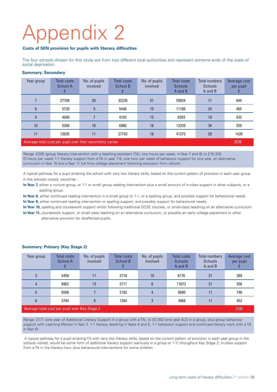# opendix 2

### **Costs of SEN provision for pupils with literacy difficulties**

The four schools chosen for this study are from two different local authorities and represent extreme ends of the scale of social deprivation.

#### **Summary: Secondary**

| Year group                                               | Total costs<br><b>School A</b> | No. of pupils<br>involved | <b>Total costs</b><br><b>School B</b> | No. of pupils<br>involved | <b>Total costs</b><br><b>Schools</b><br>A and B | <b>Total numbers</b><br><b>Schools</b><br>A and B | Average cost<br>per pupil |  |  |
|----------------------------------------------------------|--------------------------------|---------------------------|---------------------------------------|---------------------------|-------------------------------------------------|---------------------------------------------------|---------------------------|--|--|
|                                                          | 27708                          | 20                        | 32226                                 | 51                        | 59934                                           | 71                                                | 844                       |  |  |
| 8                                                        | 5720                           | 9                         | 5446                                  | 15                        | 11166                                           | 24                                                | 465                       |  |  |
| 9                                                        | 4040                           |                           | 4163                                  | 12                        | 8203                                            | 19                                                | 432                       |  |  |
| 10                                                       | 5260                           | 18                        | 6960                                  | 16                        | 12220                                           | 34                                                | 359                       |  |  |
| 11                                                       | 13630                          | 11                        | 27743                                 | 18                        | 41373                                           | 29                                                | 1426                      |  |  |
| Average total cost per pupil over their secondary career |                                |                           |                                       |                           |                                                 |                                                   |                           |  |  |

Range: £305 (group literacy intervention with a teaching assistant (TA), two hours per week, in Year 7 and 8) to £16,328 (3 hours per week 1-1 literacy support from a TA in year 7-9, one hour per week of behaviour support for one year, an alternative curriculum in Year 10 and a Year 11 full time college placement following exclusion from school)

A typical pathway for a pupil entering the school with very low literacy skills, based on the current pattern of provision in each year group in the schools visited, would be :

- **In Year 7,** either a nurture group, or 1-1 or small group reading intervention plus a small amount of in-class support in other subjects, or a spelling group.
- **In Year 8,** either continued reading intervention in a small group or 1-1, or a spelling group, and possibly support for behavioural needs.
- **In Year 9,** either continued reading intervention or spelling support, and possibly support for behavioural needs.

**In Year 10,** spelling and coursework support whilst following traditional GCSE courses, or small-class teaching on an alternative curriculum.

**In Year 11,** coursework support, or small class teaching on an alternative curriculum, or possibly an early college placement or other alternative provision for disaffected pupils.

| Year group                                    | <b>Total costs</b><br><b>School A</b> | No. of pupils<br>involved | <b>Total costs</b><br><b>School B</b> | No. of pupils<br>involved | <b>Total costs</b><br><b>Schools</b><br>A and B | <b>Total numbers</b><br><b>Schools</b><br>A and B | Average cost<br>per pupil |  |
|-----------------------------------------------|---------------------------------------|---------------------------|---------------------------------------|---------------------------|-------------------------------------------------|---------------------------------------------------|---------------------------|--|
| 3                                             | 5458                                  | 11                        | 2718                                  | 10                        | 8176                                            | 21                                                | 389                       |  |
| 4                                             | 8962                                  | 13                        | 2711                                  | 8                         | 11673                                           | 21                                                | 556                       |  |
| 5                                             | 6508                                  |                           | 2182                                  | $\overline{4}$            | 8690                                            | 11                                                | 790                       |  |
| $6\phantom{1}$                                | 3704                                  |                           | 1264                                  | 3                         | 4968                                            | 11                                                | 452                       |  |
| Average total cost per pupil over Key Stage 2 |                                       |                           |                                       |                           |                                                 |                                                   |                           |  |

### **Summary: Primary (Key Stage 2)**

Range: £171 (one year of Additional Literacy Support in a group with a TA), to £3,362 (one year ALS in a group, plus group behaviour support with Learning Mentor in Year 3, 1-1 literacy teaching in Years 4 and 5, 1-1 behaviour support and continued literacy work with a TA in Year 6)

A typical pathway for a pupil entering Y3 with very low literacy skills, based on the current pattern of provision in each year group in the schools visited, would be some form of additional literacy support (variously in a group or 1-1) throughout Key Stage 2, in-class support from a TA in the literacy hour, plus behavioural interventions for some children.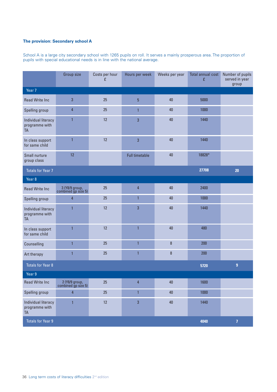### **The provision: Secondary school A**

School A is a large city secondary school with 1265 pupils on roll. It serves a mainly prosperous area. The proportion of pupils with special educational needs is in line with the national average.

|                                                    | <b>Group size</b>                     | Costs per hour<br>£ | Hours per week        | Weeks per year | <b>Total annual cost</b><br>£ | Number of pupils<br>served in year<br>group |
|----------------------------------------------------|---------------------------------------|---------------------|-----------------------|----------------|-------------------------------|---------------------------------------------|
| Year 7                                             |                                       |                     |                       |                |                               |                                             |
| <b>Read Write Inc.</b>                             | 3                                     | 25                  | $5\phantom{.0}$       | 40             | 5000                          |                                             |
| Spelling group                                     | $\overline{4}$                        | 25                  | $\mathbf{1}$          | 40             | 1000                          |                                             |
| Individual literacy<br>programme with<br><b>TA</b> | $\overline{1}$                        | 12                  | 3                     | 40             | 1440                          |                                             |
| In class support<br>for same child                 | $\overline{1}$                        | 12                  | 3                     | 40             | 1440                          |                                             |
| Small nurture<br>group class                       | 12                                    |                     | <b>Full timetable</b> | 40             | 18828*                        |                                             |
| <b>Totals for Year 7</b>                           |                                       |                     |                       |                | 27708                         | 20                                          |
| Year 8                                             |                                       |                     |                       |                |                               |                                             |
| <b>Read Write Inc.</b>                             | 3 (Y8/9 group,<br>combined gp size 5) | 25                  | $\overline{4}$        | 40             | 2400                          |                                             |
| Spelling group                                     | $\overline{4}$                        | 25                  | $\mathbf{1}$          | 40             | 1000                          |                                             |
| Individual literacy<br>programme with<br><b>TA</b> | 1                                     | 12                  | 3                     | 40             | 1440                          |                                             |
| In class support<br>for same child                 | $\overline{1}$                        | 12                  | $\overline{1}$        | 40             | 480                           |                                             |
| Counselling                                        | $\overline{1}$                        | 25                  | $\mathbf{1}$          | $\bf{8}$       | 200                           |                                             |
| Art therapy                                        | $\overline{1}$                        | 25                  | $\mathbf{1}$          | 8              | 200                           |                                             |
| <b>Totals for Year 8</b>                           |                                       |                     |                       |                | 5720                          | $\overline{9}$                              |
| Year 9                                             |                                       |                     |                       |                |                               |                                             |
| <b>Read Write Inc</b>                              | 2 (Y8/9 group,<br>combined gp size 5) | 25                  | $\overline{4}$        | 40             | 1600                          |                                             |
| Spelling group                                     | $\overline{4}$                        | 25                  | $\mathbf{1}$          | 40             | 1000                          |                                             |
| Individual literacy<br>programme with<br>TA        | $\overline{1}$                        | 12                  | $\mathbf{3}$          | 40             | 1440                          |                                             |
| <b>Totals for Year 9</b>                           |                                       |                     |                       |                | 4040                          | $\overline{1}$                              |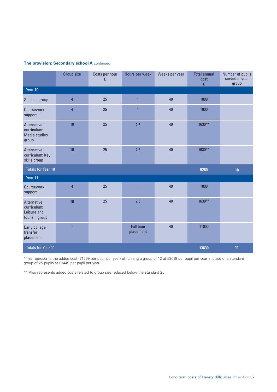### **The provision: Secondary school A** continued

|                                                            | Group size     | Costs per hour<br>£ | Hours per week                | Weeks per year | <b>Total annual</b><br>cost<br>£ | Number of pupils<br>served in year<br>group |
|------------------------------------------------------------|----------------|---------------------|-------------------------------|----------------|----------------------------------|---------------------------------------------|
| Year 10                                                    |                |                     |                               |                |                                  |                                             |
| Spelling group                                             | $\overline{4}$ | 25                  | $\mathbf{1}$                  | 40             | 1000                             |                                             |
| Coursework<br>support                                      | $\overline{4}$ | 25                  | $\overline{1}$                | 40             | 1000                             |                                             |
| Alternative<br>curriculum:<br>Media studies<br>group       | 10             | 25                  | 2.5                           | 40             | 1630**                           |                                             |
| Alternative<br>curriculum: Key<br>skills group             | 10             | 25                  | 2.5                           | 40             | 1630**                           |                                             |
| <b>Totals for Year 10</b>                                  |                |                     |                               |                | 5260                             | 18                                          |
| Year 11                                                    |                |                     |                               |                |                                  |                                             |
| Coursework<br>support                                      | $\overline{4}$ | 25                  | $\mathbf{1}$                  | 40             | 1000                             |                                             |
| Alternative<br>curriculum:<br>Leisure and<br>tourism group | 10             | 25                  | 2.5                           | 40             | 1630**                           |                                             |
| Early college<br>transfer<br>placement                     | $\overline{1}$ |                     | <b>Full time</b><br>placement | 40             | 11000                            |                                             |
| <b>Totals for Year 11</b>                                  |                |                     |                               |                | 13630                            | 11                                          |

\*This represents the added cost (£1569 per pupil per year) of running a group of 12 at £3018 per pupil per year in place of a standard group of 25 pupils at £1449 per pupil per year

\*\* Also represents added costs related to group size reduced below the standard 25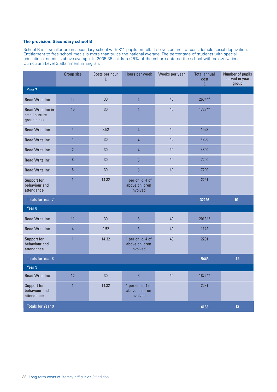### **The provision: Secondary school B**

School B is a smaller urban secondary school with 811 pupils on roll. It serves an area of considerable social deprivation. Entitlement to free school meals is more than twice the national average. The percentage of students with special educational needs is above average. In 2005 35 children (25% of the cohort) entered the school with below National Curriculum Level 3 attainment in English.

|                                                   | <b>Group size</b>       | Costs per hour<br>£ | Hours per week                                  | Weeks per year | <b>Total annual</b><br>cost<br>$\pmb{\mathrm{f}}$ | Number of pupils<br>served in year<br>group |
|---------------------------------------------------|-------------------------|---------------------|-------------------------------------------------|----------------|---------------------------------------------------|---------------------------------------------|
| Year 7                                            |                         |                     |                                                 |                |                                                   |                                             |
| <b>Read Write Inc.</b>                            | 11                      | 30                  | $\overline{4}$                                  | 40             | 2684**                                            |                                             |
| Read Write Inc in<br>small nurture<br>group class | 16                      | 30                  | $\overline{4}$                                  | 40             | 1728**                                            |                                             |
| <b>Read Write Inc</b>                             | $\overline{4}$          | 9.52                | $\overline{4}$                                  | 40             | 1523                                              |                                             |
| <b>Read Write Inc</b>                             | $\overline{4}$          | 30                  | $\overline{4}$                                  | 40             | 4800                                              |                                             |
| <b>Read Write Inc</b>                             | $\overline{2}$          | 30                  | $\overline{4}$                                  | 40             | 4800                                              |                                             |
| <b>Read Write Inc</b>                             | $\overline{\textbf{8}}$ | 30                  | $6\phantom{1}$                                  | 40             | 7200                                              |                                             |
| <b>Read Write Inc</b>                             | 6                       | 30                  | $\boldsymbol{6}$                                | 40             | 7200                                              |                                             |
| Support for<br>behaviour and<br>attendance        | $\overline{1}$          | 14.32               | 1 per child, 4 of<br>above children<br>involved |                | 2291                                              |                                             |
| <b>Totals for Year 7</b>                          |                         |                     |                                                 |                | 32226                                             | 51                                          |
| Year 8                                            |                         |                     |                                                 |                |                                                   |                                             |
| <b>Read Write Inc.</b>                            | 11                      | 30                  | $\mathbf{3}$                                    | 40             | $2013***$                                         |                                             |
| <b>Read Write Inc</b>                             | $\overline{4}$          | 9.52                | $\overline{3}$                                  | 40             | 1142                                              |                                             |
| Support for<br>behaviour and<br>attendance        | $\overline{1}$          | 14.32               | 1 per child, 4 of<br>above children<br>involved | 40             | 2291                                              |                                             |
| <b>Totals for Year 8</b>                          |                         |                     |                                                 |                | 5446                                              | 15                                          |
| Year 9                                            |                         |                     |                                                 |                |                                                   |                                             |
| <b>Read Write Inc</b>                             | 12                      | 30                  | 3                                               | 40             | 1872**                                            |                                             |
| Support for<br>behaviour and<br>attendance        | $\overline{1}$          | 14.32               | 1 per child, 4 of<br>above children<br>involved |                | 2291                                              |                                             |
| <b>Totals for Year 9</b>                          |                         |                     |                                                 |                | 4163                                              | 12                                          |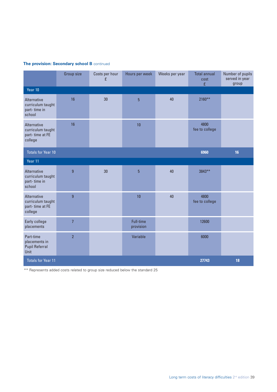### **The provision: Secondary school B** continued

|                                                                | <b>Group size</b> | Costs per hour<br>£ | Hours per week         | Weeks per year | <b>Total annual</b><br>cost<br>${\bf f}$ | Number of pupils<br>served in year<br>group |
|----------------------------------------------------------------|-------------------|---------------------|------------------------|----------------|------------------------------------------|---------------------------------------------|
| Year 10                                                        |                   |                     |                        |                |                                          |                                             |
| Alternative<br>curriculum taught<br>part-time in<br>school     | 16                | 30                  | $\overline{5}$         | 40             | $2160**$                                 |                                             |
| Alternative<br>curriculum taught<br>part-time at FE<br>college | 16                |                     | 10                     |                | 4800<br>fee to college                   |                                             |
| <b>Totals for Year 10</b>                                      |                   |                     |                        |                | 6960                                     | 16                                          |
| Year 11                                                        |                   |                     |                        |                |                                          |                                             |
| Alternative<br>curriculum taught<br>part-time in<br>school     | $\overline{9}$    | 30                  | $\overline{5}$         | 40             | 3843**                                   |                                             |
| Alternative<br>curriculum taught<br>part-time at FE<br>college | $\overline{9}$    |                     | 10                     | 40             | 4800<br>fee to college                   |                                             |
| Early college<br>placements                                    | $\overline{7}$    |                     | Full-time<br>provision |                | 12600                                    |                                             |
| Part-time<br>placements in<br><b>Pupil Referral</b><br>Unit    | $\overline{2}$    |                     | Variable               |                | 6000                                     |                                             |
| <b>Totals for Year 11</b>                                      |                   |                     |                        |                | 27743                                    | 18                                          |

\*\* Represents added costs related to group size reduced below the standard 25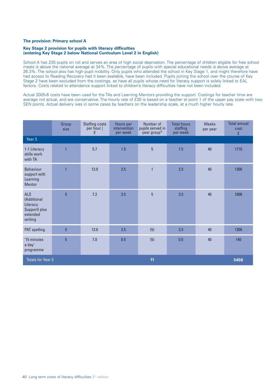### **The provision: Primary school A**

#### **Key Stage 2 provision for pupils with literacy difficulties (entering Key Stage 2 below National Curriculum Level 2 in English)**

School A has 235 pupils on roll and serves an area of high social deprivation. The percentage of children eligible for free school meals is above the national average at 34%. The percentage of pupils with special educational needs is above average at 26.3%. The school also has high pupil mobility. Only pupils who attended the school in Key Stage 1, and might therefore have had access to Reading Recovery had it been available, have been included. Pupils joining the school over the course of Key Stage 2 have been excluded from the costings, as have all pupils whose need for literacy support is solely linked to EAL factors. Costs related to attendance support linked to children's literacy difficulties have not been included.

Actual 2005-6 costs have been used for the TAs and Learning Mentors providing the support. Costings for teacher time are average not actual, and are conservative. The hourly rate of £30 is based on a teacher at point 1 of the upper pay scale with two SEN points. Actual delivery was in some cases by teachers on the leadership scale, at a much higher hourly rate.

|                                                                               | Group<br>size  | <b>Staffing costs</b><br>per hour  <br>£ | Hours per<br>intervention<br>per week | Number of<br>pupils served in<br>year group* | <b>Total hours</b><br>staffing<br>per week | <b>Weeks</b><br>per year | <b>Total annual</b><br>cost<br>$\mathbf f$ |
|-------------------------------------------------------------------------------|----------------|------------------------------------------|---------------------------------------|----------------------------------------------|--------------------------------------------|--------------------------|--------------------------------------------|
| Year 3                                                                        |                |                                          |                                       |                                              |                                            |                          |                                            |
| 1-1 Literacy<br>skills work<br>with TA                                        | $\overline{1}$ | 5.7                                      | 1.5                                   | 5                                            | 7.5                                        | 40                       | 1710                                       |
| <b>Behaviour</b><br>support with<br>Learning<br><b>Mentor</b>                 | $\overline{1}$ | 13.0                                     | 2.5                                   | $\overline{1}$                               | 2.5                                        | 40                       | 1300                                       |
| <b>ALS</b><br>(Additional<br>Literacy<br>Support) plus<br>extended<br>writing | $5\phantom{.}$ | 7.2                                      | 3.5                                   | $5\phantom{.}$                               | 3.5                                        | 40                       | 1008                                       |
| PAT spelling                                                                  | 5              | 13.0                                     | 2.5                                   | (5)                                          | 2.5                                        | 40                       | 1300                                       |
| '15 minutes<br>a day'<br>programme                                            | 5              | 7.0                                      | 0.5                                   | (5)                                          | 0.5                                        | 40                       | 140                                        |
| <b>Totals for Year 3</b>                                                      |                |                                          |                                       | 11                                           |                                            |                          | 5458                                       |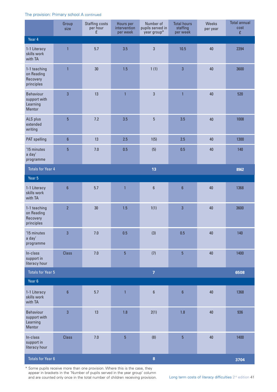### The provision: Primary school A continued

|                                                        | Group<br>size    | <b>Staffing costs</b><br>per hour<br>£ | Hours per<br>intervention<br>per week | Number of<br>pupils served in<br>$y$ ear group* | <b>Total hours</b><br>staffing<br>per week | Weeks<br>per year | <b>Total annual</b><br>cost<br>$\pmb{\mathrm{f}}$ |  |  |  |
|--------------------------------------------------------|------------------|----------------------------------------|---------------------------------------|-------------------------------------------------|--------------------------------------------|-------------------|---------------------------------------------------|--|--|--|
| Year 4                                                 |                  |                                        |                                       |                                                 |                                            |                   |                                                   |  |  |  |
| 1-1 Literacy<br>skills work<br>with TA                 | $\mathbf{1}$     | 5.7                                    | 3.5                                   | 3                                               | 10.5                                       | 40                | 2394                                              |  |  |  |
| 1-1 teaching<br>on Reading<br>Recovery<br>principles   | $\mathbf{1}$     | 30                                     | 1.5                                   | 1(1)                                            | 3                                          | 40                | 3600                                              |  |  |  |
| <b>Behaviour</b><br>support with<br>Learning<br>Mentor | $\overline{3}$   | 13                                     | $\overline{1}$                        | 3                                               | $\overline{1}$                             | 40                | 520                                               |  |  |  |
| ALS plus<br>extended<br>writing                        | 5 <sup>5</sup>   | 7.2                                    | 3.5                                   | $5\phantom{.0}$                                 | 3.5                                        | 40                | 1008                                              |  |  |  |
| PAT spelling                                           | $6\phantom{a}$   | 13                                     | 2.5                                   | 1(5)                                            | 2.5                                        | 40                | 1300                                              |  |  |  |
| '15 minutes<br>a day'<br>programme                     | $\overline{5}$   | 7.0                                    | 0.5                                   | (5)                                             | 0.5                                        | 40                | 140                                               |  |  |  |
| <b>Totals for Year 4</b><br>13<br>8962                 |                  |                                        |                                       |                                                 |                                            |                   |                                                   |  |  |  |
| Year 5                                                 |                  |                                        |                                       |                                                 |                                            |                   |                                                   |  |  |  |
| 1-1 Literacy<br>skills work<br>with TA                 | $6\phantom{1}$   | 5.7                                    | $\overline{1}$                        | $\boldsymbol{6}$                                | $6\phantom{a}$                             | 40                | 1368                                              |  |  |  |
| 1-1 teaching<br>on Reading<br>Recovery<br>principles   | $\overline{2}$   | 30                                     | 1.5                                   | 1(1)                                            | 3                                          | 40                | 3600                                              |  |  |  |
| '15 minutes<br>a day'<br>programme                     | 3                | 7.0                                    | 0.5                                   | (3)                                             | 0.5                                        | 40                | 140                                               |  |  |  |
| In-class<br>support in<br>literacy hour                | <b>Class</b>     | 7.0                                    | $\overline{5}$                        | (7)                                             | $\overline{5}$                             | 40                | 1400                                              |  |  |  |
| <b>Totals for Year 5</b>                               |                  |                                        |                                       | $\overline{7}$                                  |                                            |                   | 6508                                              |  |  |  |
| Year 6                                                 |                  |                                        |                                       |                                                 |                                            |                   |                                                   |  |  |  |
| 1-1 Literacy<br>skills work<br>with TA                 | $\boldsymbol{6}$ | 5.7                                    | $\overline{1}$                        | 6                                               | $\boldsymbol{6}$                           | 40                | 1368                                              |  |  |  |
| <b>Behaviour</b><br>support with<br>Learning<br>Mentor | $\overline{3}$   | 13                                     | 1.8                                   | 2(1)                                            | 1.8                                        | 40                | 936                                               |  |  |  |
| In-class<br>support in<br>literacy hour                | Class            | 7.0                                    | $\overline{5}$                        | (8)                                             | $\overline{5}$                             | 40                | 1400                                              |  |  |  |
| <b>Totals for Year 6</b>                               |                  |                                        |                                       | $\pmb{8}$                                       |                                            |                   | 3704                                              |  |  |  |

\* Some pupils receive more than one provision. Where this is the case, they appear in brackets in the 'Number of pupils served in the year group' column and are counted only once in the total number of children receiving provision.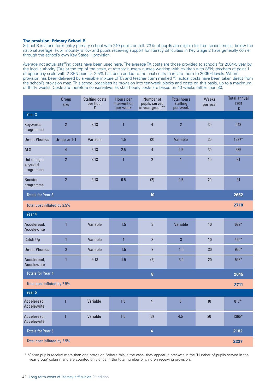### **The provision: Primary School B**

School B is a one-form entry primary school with 210 pupils on roll. 7.3% of pupils are eligible for free school meals, below the national average. Pupil mobility is low and pupils receiving support for literacy difficulties in Key Stage 2 have generally come through the school's own Key Stage 1 provision.

Average not actual staffing costs have been used here. The average TA costs are those provided to schools for 2004-5 year by the local authority (TAs at the top of the scale, at rate for nursery nurses working with children with SEN; teachers at point 1 of upper pay scale with 2 SEN points). 2.5% has been added to the final costs to inflate them to 2005-6 levels. Where provision has been delivered by a variable mixture of TA and teacher (item marked \*), actual costs have been taken direct from the school's provision map. This school organises its provision into ten-week blocks and costs on this basis, up to a maximum of thirty weeks. Costs are therefore conservative, as staff hourly costs are based on 40 weeks rather than 30.

|                                        | Group<br>size           | <b>Staffing costs</b><br>per hour<br>£ | Hours per<br>intervention<br>per week | Number of<br>pupils served<br>in year group** | <b>Total hours</b><br>staffing<br>per week | Weeks<br>per year | <b>Total annual</b><br>cost<br>£ |  |  |
|----------------------------------------|-------------------------|----------------------------------------|---------------------------------------|-----------------------------------------------|--------------------------------------------|-------------------|----------------------------------|--|--|
| Year 3                                 |                         |                                        |                                       |                                               |                                            |                   |                                  |  |  |
| Keywords<br>programme                  | $\overline{2}$          | 9.13                                   | 1                                     | $\overline{4}$                                | $\overline{2}$                             | 30                | 548                              |  |  |
| <b>Direct Phonics</b>                  | Group or 1-1            | Variable                               | 1.5                                   | (2)                                           | Variable                                   | 30                | 1237*                            |  |  |
| ALS                                    | 4                       | 9.13                                   | 2.5                                   | 4                                             | 2.5                                        | 30                | 685                              |  |  |
| Out of sight<br>keyword<br>programme   | $\overline{2}$          | 9.13                                   | $\overline{1}$                        | $\overline{2}$                                | $\mathbf{1}$                               | 10                | 91                               |  |  |
| <b>Booster</b><br>programme            | $\overline{2}$          | 9.13                                   | 0.5                                   | (2)                                           | 0.5                                        | 20                | 91                               |  |  |
| <b>Totals for Year 3</b><br>10<br>2652 |                         |                                        |                                       |                                               |                                            |                   |                                  |  |  |
| 2718<br>Total cost inflated by 2.5%    |                         |                                        |                                       |                                               |                                            |                   |                                  |  |  |
| Year 4                                 |                         |                                        |                                       |                                               |                                            |                   |                                  |  |  |
| Acceleread,<br>Accelewrite             | $\mathbf{1}$            | Variable                               | 1.5                                   | 3                                             | Variable                                   | 10                | 682*                             |  |  |
| Catch Up                               | $\overline{1}$          | Variable                               | $\mathbf{1}$                          | 3                                             | 3                                          | 10                | 455*                             |  |  |
| <b>Direct Phonics</b>                  | $\overline{2}$          | Variable                               | 1.5                                   | $\overline{2}$                                | 1.5                                        | 30                | $960*$                           |  |  |
| Acceleread,<br>Accelewrite             | $\mathbf{1}$            | 9.13                                   | 1.5                                   | (2)                                           | 3.0                                        | 20                | 548*                             |  |  |
| <b>Totals for Year 4</b>               |                         |                                        |                                       | 8                                             |                                            |                   | 2645                             |  |  |
| Total cost inflated by 2.5%            |                         |                                        |                                       |                                               |                                            |                   | 2711                             |  |  |
| Year 5                                 |                         |                                        |                                       |                                               |                                            |                   |                                  |  |  |
| Acceleread,<br>Accelewrite             | $\overline{\mathbf{1}}$ | Variable                               | 1.5                                   | $\overline{4}$                                | 6                                          | 10                | $817*$                           |  |  |
| Acceleread,<br>Accelewrite             | $\overline{1}$          | Variable                               | 1.5                                   | (3)                                           | 4.5                                        | 20                | 1365*                            |  |  |
| <b>Totals for Year 5</b>               |                         |                                        |                                       | $\overline{\mathbf{4}}$                       |                                            |                   | 2182                             |  |  |
| Total cost inflated by 2.5%            |                         |                                        |                                       |                                               |                                            |                   | 2237                             |  |  |

\* \*Some pupils receive more than one provision. Where this is the case, they appear in brackets in the 'Number of pupils served in the year group' column and are counted only once in the total number of children receiving provision.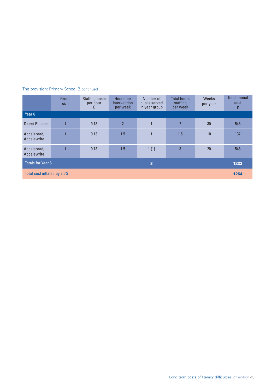|                               | Group<br>size | Staffing costs<br>per hour<br>f | Hours per<br>intervention<br>per week | Number of<br>pupils served<br>in year group | <b>Total hours</b><br>staffing<br>per week | Weeks<br>per year | <b>Total annual</b><br>cost<br>£ |
|-------------------------------|---------------|---------------------------------|---------------------------------------|---------------------------------------------|--------------------------------------------|-------------------|----------------------------------|
| Year <sub>6</sub>             |               |                                 |                                       |                                             |                                            |                   |                                  |
| <b>Direct Phonics</b>         |               | 9.13                            | $\overline{2}$                        |                                             | $\overline{2}$                             | 30                | 548                              |
| Acceleread,<br>Accelewrite    |               | 9.13                            | 1.5                                   |                                             | 1.5                                        | 10                | 137                              |
| Acceleread,<br>Accelewrite    |               | 9.13                            | 1.5                                   | 1(1)                                        | 3                                          | 20                | 548                              |
| <b>Totals for Year 6</b><br>3 |               |                                 |                                       |                                             |                                            | 1233              |                                  |
| Total cost inflated by 2.5%   |               |                                 |                                       |                                             |                                            | 1264              |                                  |

### The provision: Primary School B continued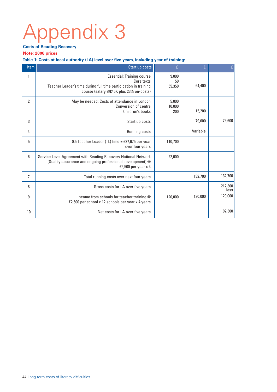### **Costs of Reading Recovery**

**Note: 2006 prices**

### **Table 1: Costs at local authority (LA) level over five years, including year of training:**

| <b>Item</b> | Start up costs                                                                                                                                                 | £                      | £        |                 |
|-------------|----------------------------------------------------------------------------------------------------------------------------------------------------------------|------------------------|----------|-----------------|
| 1           | <b>Essential: Training course</b><br>Core texts<br>Teacher Leader's time during full time participation in training<br>course (salary @£45K plus 23% on-costs) | 9,000<br>50<br>55,350  | 64,400   |                 |
| 2           | May be needed: Costs of attendance in London<br><b>Conversion of centre</b><br>Children's books                                                                | 5,000<br>10,000<br>200 | 15,200   |                 |
| 3           | Start up costs                                                                                                                                                 |                        | 79,600   | 79,600          |
| 4           | Running costs                                                                                                                                                  |                        | Variable |                 |
| 5           | 0.5 Teacher Leader (TL) time = £27,675 per year<br>over four years                                                                                             | 110,700                |          |                 |
| 6           | Service Level Agreement with Reading Recovery National Network<br>(Quality assurance and ongoing professional development) @<br>£5,500 per year $x$ 4          | 22,000                 |          |                 |
| 7           | Total running costs over next four years                                                                                                                       |                        | 132,700  | 132,700         |
| 8           | Gross costs for LA over five years                                                                                                                             |                        |          | 212,300<br>less |
| 9           | Income from schools for teacher training @<br>£2,500 per school x 12 schools per year x 4 years                                                                | 120,000                | 120,000  | 120,000         |
| 10          | Net costs for LA over five years                                                                                                                               |                        |          | 92,300          |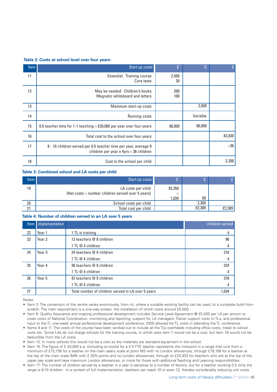|  |  |  |  |  | Table 2: Costs at school level over four years: |  |  |  |  |
|--|--|--|--|--|-------------------------------------------------|--|--|--|--|
|--|--|--|--|--|-------------------------------------------------|--|--|--|--|

| <b>Item</b> | Start up costs                                                                                            | £           | £        |           |
|-------------|-----------------------------------------------------------------------------------------------------------|-------------|----------|-----------|
| 11          | Essential: Training course<br>Core texts                                                                  | 2,500<br>30 |          |           |
| 12          | May be needed: Children's books<br>Magnetic whiteboard and letters                                        | 200<br>100  |          |           |
| 13          | Maximum start-up costs                                                                                    |             | 2,830    |           |
| 14          | Running costs                                                                                             |             | Variable |           |
| 15          | 0.5 teacher time for 1-1 teaching = $£20,000$ per year over four years                                    | 80,000      | 80,000   |           |
| 16          | Total cost to the school over four years                                                                  |             |          | 82,830    |
| 17          | 8 - 10 children served per 0.5 teacher time per year, average 9<br>children per year x 4yrs = 36 children |             |          | $\div 36$ |
| 18          | Cost to the school per child                                                                              |             |          | 2,300     |

#### **Table 3: Combined school and LA costs per child**

| Item | Start up costs                                                               |             |        |        |
|------|------------------------------------------------------------------------------|-------------|--------|--------|
| 19   | LA costs per child<br>(Net costs $\div$ number children served over 5 years) | 92,350<br>÷ |        |        |
|      |                                                                              | 1.034       | 89     |        |
| 20   | School costs per child                                                       |             | 2,300  |        |
| 21   | Total cost per child                                                         |             | £2,389 | £2,389 |

### **Table 4: Number of children served in an LA over 5 years**

|    | Item implementation |                                                    | children served |
|----|---------------------|----------------------------------------------------|-----------------|
| 22 | Year 1              | 1 TL in training                                   |                 |
| 23 | Year 2              | 12 teachers @ 8 children                           | 96              |
|    |                     | 1 TL @ 4 children                                  |                 |
| 24 | Year 3              | 24 teachers @ 9 children                           | 216             |
|    |                     | 1 TL @ 4 children                                  |                 |
| 25 | Year 4              | 36 teachers @ 9 children                           | 324             |
|    |                     | 1 TL @ 4 children                                  |                 |
| 26 | Year 5              | 42 teachers @ 9 children                           | 378             |
|    |                     | 1 TL @ 4 children                                  |                 |
| 27 |                     | Total number of children served in LA over 5 years | 1.034           |

Notes:

- Item 2: The conversion of the centre varies enormously, from nil, where a suitable existing facility can be used, to a complete build from scratch. The main requirement is a one-way screen, the installation of which costs around £5,000.
- Item 6: Quality Assurance and ongoing professional development includes Service Level Agreement @ £5,000 per LA per annum to cover costs of National Coordination, monitoring and reporting, support for LA managers, Trainer support visits to TLs, and professional input to the TL one-week annual professional development conference; £500 allowed for TL costs in attending the TL conference. • Items 9 and 11: The costs of the course have been worked out to include all the TL's overheads including office costs, travel to school
- visits etc. Some LAs do not charge schools for the training course, in which case item 1 would not be a cost, but item 18 would not be deductible from the LA costs.
- Item 12: In many schools this would not be a cost as the materials are standard equipment in the school.
- Item 15. The figure of £ 20,000 p.a. (including on-costs) for a 0.5 FTE teacher represents the mid-point in a range that runs from a minimum of £13,738 for a teacher on the main salary scale at point M3 with no London allowances, through £18,108 for a teacher at the top of the main scale (M6) with 2 SEN points and no London allowances, through to £23,933 for teachers who are at the top of the upper pay scale and have maximum London allowances, or more for those with additional Teaching and Learning responsibilities.
- Item 17: The number of children served by a teacher in a year is sensitive to a number of factors, but for a teacher working 0.5 time the range is 8-10 children. In a context of full implementation, teachers can reach 10 or even 12, thereby considerably reducing unit costs.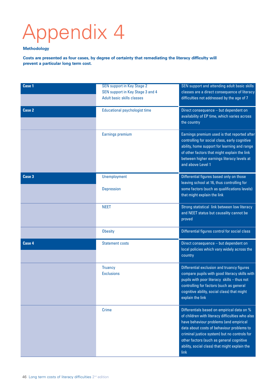### **Methodology**

**Costs are presented as four cases, by degree of certainty that remediating the literacy difficulty will prevent a particular long term cost.**

| <b>Case 1</b> | <b>SEN support in Key Stage 2</b><br>SEN support in Key Stage 3 and 4<br><b>Adult basic skills classes</b> | SEN support and attending adult basic skills<br>classes are a direct consequence of literacy<br>difficulties not addressed by the age of 7                                                                                                                                                                                                |
|---------------|------------------------------------------------------------------------------------------------------------|-------------------------------------------------------------------------------------------------------------------------------------------------------------------------------------------------------------------------------------------------------------------------------------------------------------------------------------------|
| <b>Case 2</b> | <b>Educational psychologist time</b>                                                                       | Direct consequence - but dependent on<br>availability of EP time, which varies across<br>the country                                                                                                                                                                                                                                      |
|               | Earnings premium                                                                                           | Earnings premium used is that reported after<br>controlling for social class, early cognitive<br>ability, home support for learning and range<br>of other factors that might explain the link<br>between higher earnings literacy levels at<br>and above Level 1                                                                          |
| <b>Case 3</b> | <b>Unemployment</b><br><b>Depression</b>                                                                   | Differential figures based only on those<br>leaving school at 16, thus controlling for<br>some factors (such as qualifications levels)<br>that might explain the link                                                                                                                                                                     |
|               | <b>NEET</b>                                                                                                | Strong statistical link between low literacy<br>and NEET status but causality cannot be<br>proved                                                                                                                                                                                                                                         |
|               | <b>Obesity</b>                                                                                             | Differential figures control for social class                                                                                                                                                                                                                                                                                             |
| <b>Case 4</b> | <b>Statement costs</b>                                                                                     | Direct consequence - but dependent on<br>local policies which vary widely across the<br>country                                                                                                                                                                                                                                           |
|               | <b>Truancy</b><br><b>Exclusions</b>                                                                        | Differential exclusion and truancy figures<br>compare pupils with good literacy skills with<br>pupils with poor literacy skills - thus not<br>controlling for factors (such as general<br>cognitive ability, social class) that might<br>explain the link                                                                                 |
|               | <b>Crime</b>                                                                                               | Differentials based on empirical data on %<br>of children with literacy difficulties who also<br>have behaviour problems (and empirical<br>data about costs of behaviour problems to<br>criminal justice system) but no controls for<br>other factors (such as general cognitive<br>ability, social class) that might explain the<br>link |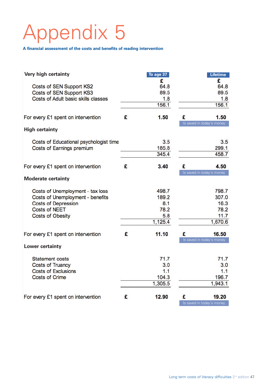**A financial assessment of the costs and benefits of reading intervention** 

| Very high certainty                    |   | To age 37<br>£ |   | <b>Lifetime</b><br>£               |
|----------------------------------------|---|----------------|---|------------------------------------|
| Costs of SEN Support KS2               |   | 64.8           |   | 64.8                               |
| Costs of SEN Support KS3               |   | 89.5           |   | 89.5                               |
| Costs of Adult basic skills classes    |   | 1.8            |   | 1.8                                |
|                                        |   | 156.1          |   | 156.1                              |
|                                        |   |                |   |                                    |
| For every £1 spent on intervention     | £ | 1.50           | £ | 1.50                               |
| <b>High certainty</b>                  |   |                |   | Is saved in today's money          |
| Costs of Educational psychologist time |   | 3.5            |   | 3.5                                |
| Costs of Earnings premium              |   | 185.8          |   | 299.1                              |
|                                        |   | 345.4          |   | 458.7                              |
| For every £1 spent on intervention     | £ | 3.40           | £ | 4.50                               |
|                                        |   |                |   | Is saved in today's money          |
| <b>Moderate certainty</b>              |   |                |   |                                    |
| Costs of Unemployment - tax loss       |   | 498.7          |   | 798.7                              |
| Costs of Unemployment - benefits       |   | 189.2          |   | 307.0                              |
| <b>Costs of Depression</b>             |   | 8.1            |   | 16.3                               |
| <b>Costs of NEET</b>                   |   | 78.2           |   | 78.2                               |
| <b>Costs of Obesity</b>                |   | 5.8            |   | 11.7                               |
|                                        |   | 1,125.4        |   | 1,670.6                            |
| For every £1 spent on intervention     | £ | 11.10          | £ | 16.50<br>Is saved in today's money |
| <b>Lower certainty</b>                 |   |                |   |                                    |
| <b>Statement costs</b>                 |   | 71.7           |   | 71.7                               |
| <b>Costs of Truancy</b>                |   | 3.0            |   | 3.0                                |
| <b>Costs of Exclusions</b>             |   | 1.1            |   | 1.1                                |
| <b>Costs of Crime</b>                  |   | 104.3          |   | 196.7                              |
|                                        |   | 1,305.5        |   | 1,943.1                            |
| For every £1 spent on intervention     | £ | 12.90          | £ | 19.20                              |
|                                        |   |                |   | Is saved in today's money          |
|                                        |   |                |   |                                    |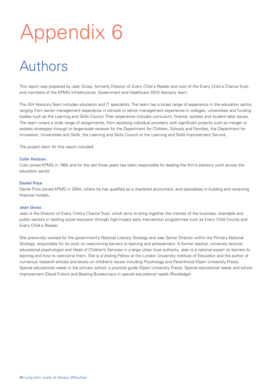### Authors

This report was prepared by Jean Gross, formerly Director of Every Child a Reader and now of the Every Child a Chance Trust, and members of the KPMG Infrastructure, Government and Healthcare (IGH) Advisory team.

The IGH Advisory Team includes education and IT specialists. The team has a broad range of experience in the education sector, ranging from senior management experience in schools to senior management experience in colleges, universities and funding bodies such as the Learning and Skills Council. Their experience includes curriculum, finance, estates and student data issues. The team covers a wide range of assignments, from assisting individual providers with significant projects such as merger or estates strategies through to larger-scale reviews for the Department for Children, Schools and Families, the Department for Innovation, Universities and Skills, the Learning and Skills Council or the Learning and Skills Improvement Service.

The project team for this report included:

#### **Colin Hudson**

Colin joined KPMG in 1992 and for the last three years has been responsible for leading the firm's advisory work across the education sector.

### **Daniel Price**

Daniel Price joined KPMG in 2004, where he has qualified as a chartered accountant, and specialises in building and reviewing financial models.

### **Jean Gross**

Jean is the Director of Every Child a Chance Trust, which aims to bring together the interest of the business, charitable and public sectors in tackling social exclusion through high-impact early intervention programmes such as Every Child Counts and Every Child a Reader.

She previously worked for the government's National Literacy Strategy and was Senior Director within the Primary National Strategy, responsible for its work on overcoming barriers to learning and achievement. A former teacher, university lecturer, educational psychologist and Head of Children's Services in a large urban local authority, Jean is a national expert on barriers to learning and how to overcome them. She is a Visiting Fellow at the London University Institute of Education and the author of numerous research articles and books on children's issues including Psychology and Parenthood (Open University Press), Special educational needs in the primary school: a practical guide (Open University Press), Special educational needs and school improvement (David Fulton) and Beating Bureaucracy in special educational needs (Routledge).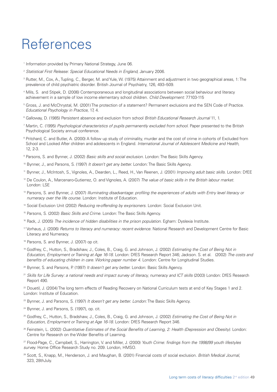### References

- <sup>1</sup> Information provided by Primary National Strategy, June 06.
- <sup>2</sup> Statistical First Release: Special Educational Needs in England, January 2006.
- <sup>3</sup> Rutter, M., Cox, A., Tupling, C., Berger, M. and Yule, W. (1975) Attainment and adjustment in two geographical areas, 1: The prevalence of child psychiatric disorder. British Journal of Psychiatry, 126, 493–509.
- <sup>4</sup> Mils, S. and Stipek, D. (2006) Contemporaneous and longitudinal associations between social behaviour and literacy achievement in a sample of low income elementary school children. Child Development: 77103-115
- <sup>5</sup> Gross, J. and McChrystal, M. (2001) The protection of a statement? Permanent exclusions and the SEN Code of Practice. Educational Psychology in Practice, 17, 4.
- <sup>6</sup> Galloway, D. (1985) Persistent absence and exclusion from school British Educational Research Journal 11, 1.
- <sup>7</sup> Martin, C. (1995) Psychological characteristics of pupils permanently excluded from school. Paper presented to the British Psychological Society annual conference.
- <sup>8</sup> Pritchard, C. and Butler, A. (2000) A follow up study of criminality, murder and the cost of crime in cohorts of Excluded from School and Looked After children and adolescents in England. International Journal of Adolescent Medicine and Health, 12, 2-3.
- <sup>9</sup> Parsons, S. and Bynner, J. (2002) Basic skills and social exclusion. London: The Basic Skills Agency.
- <sup>10</sup> Bynner, J., and Parsons, S. (1997) It doesn't get any better. London: The Basic Skills Agency.
- <sup>11</sup> Bynner, J., McIntosh, S., Vignoles, A., Dearden, L., Reed, H., Van Reenen, J. (2001) Improving adult basic skills. London: DfEE
- <sup>12</sup> De Coulon, A., Marcenaro-Gutierrez, O. and Vignoles, A. (2007) The value of basic skills in the British labour market. London: LSE
- <sup>13</sup> Parsons, S. and Bynner, J. (2007) Illuminating disadvantage: profiling the experiences of adults with Entry level literacy or numeracy over the life course. London: Institute of Education.
- <sup>14</sup> Social Exclusion Unit (2002) Reducing re-offending by ex-prisoners. London: Social Exclusion Unit.
- <sup>15</sup> Parsons, S. (2002) *Basic Skills and Crime.* London: The Basic Skills Agency.
- <sup>16</sup> Rack, J. (2005) The incidence of hidden disabilities in the prison population. Egham: Dyslexia Institute.
- <sup>17</sup> Vorhaus, J. (2006) *Returns to literacy and numeracy: recent evidence*. National Research and Development Centre for Basic Literacy and Numeracy.
- <sup>18</sup> Parsons, S. and Bynner, J. (2007) op cit.
- <sup>19</sup> Godfrey, C., Hutton, S., Bradshaw, J., Coles, B., Craig, G. and Johnson, J. (2002) Estimating the Cost of Being Not in Education, Employment or Training at Age 16-18. London: DfES Research Report 346; Jackson. S. et al. (2002) The costs and benefits of educating children in care. Working paper number 4. London: Centre for Longitudinal Studies.
- <sup>20</sup> Bynner, S. and Parsons, P. (1997) It doesn't get any better. London: Basic Skills Agency.
- <sup>21</sup> Skills for Life Survey: a national needs and impact survey of literacy, numeracy and ICT skills (2003) London: DfES Research Report 490.
- <sup>22</sup> Douetil, J. (2004) The long term effects of Reading Recovery on National Curriculum tests at end of Key Stages 1 and 2. London: Institute of Education.
- <sup>23</sup> Bynner, J. and Parsons, S. (1997) It doesn't get any better. London: The Basic Skills Agency.
- <sup>24</sup> Bynner, J. and Parsons, S. (1997), op. cit.
- <sup>25</sup> Godfrey, C., Hutton, S., Bradshaw, J., Coles, B., Craig, G. and Johnson, J. (2002) Estimating the Cost of Being Not in Education, Employment or Training at Age 16-18. London: DfES Research Report 346.
- <sup>26</sup> Feinstein, L. (2002) Quantitative Estimates of the Social Benefits of Learning, 2: Health (Depression and Obesity). London: Centre for Research on the Wider Benefits of Learning.
- <sup>27</sup> Flood-Page, C., Campbell, S., Harrington, V. and Miller, J. (2000) Youth Crime: findings from the 1998/99 youth lifestyles survey. Home Office Research Study no. 209. London, HMSO.
- <sup>28</sup> Scott, S., Knapp, M., Henderson, J. and Maughan, B. (2001) Financial costs of social exclusion. British Medical Journal, 323, 28thJuly.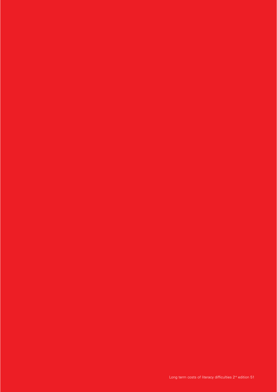Long term costs of literacy difficulties 2<sup>nd</sup> edition 51